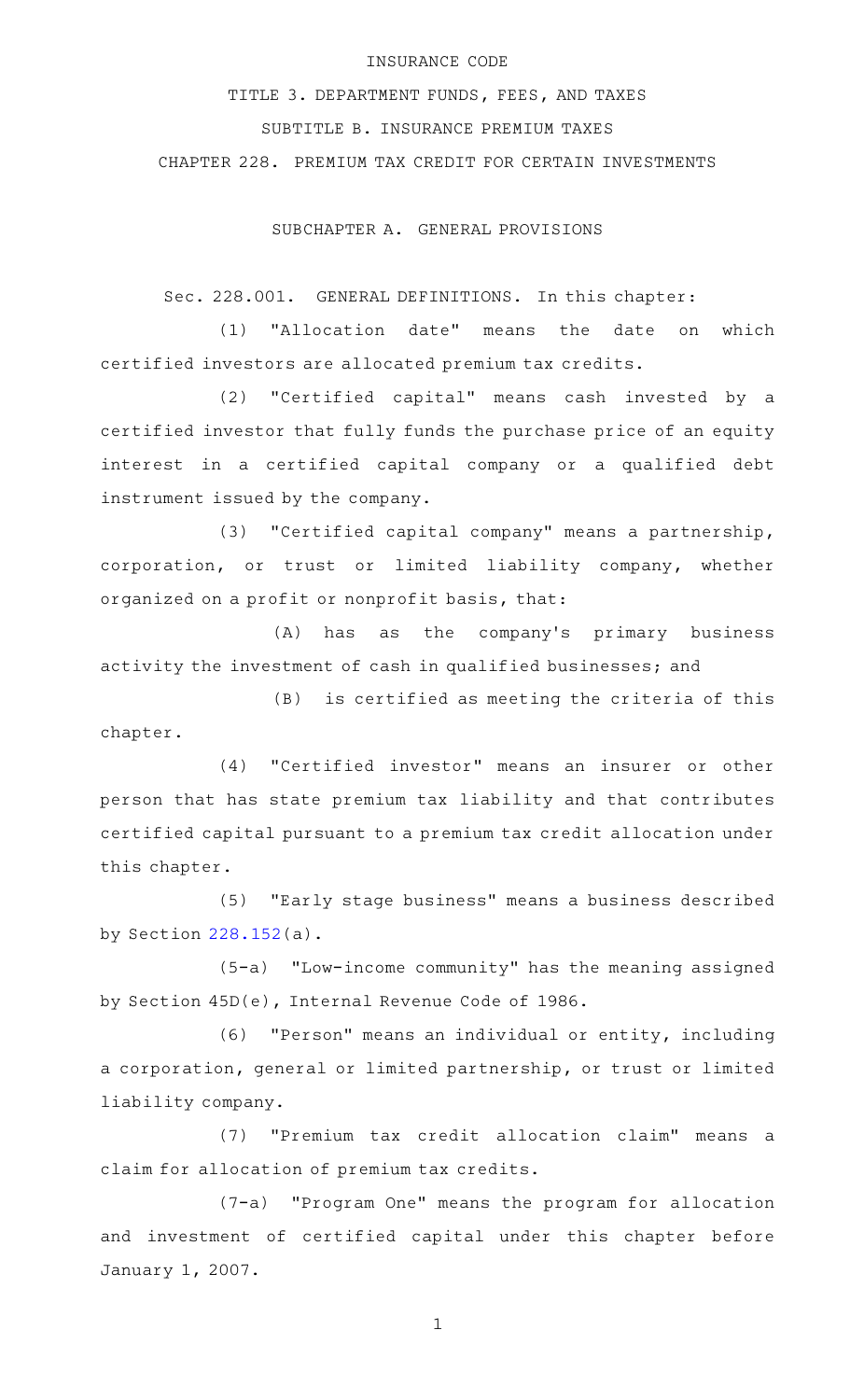#### INSURANCE CODE

TITLE 3. DEPARTMENT FUNDS, FEES, AND TAXES SUBTITLE B. INSURANCE PREMIUM TAXES CHAPTER 228. PREMIUM TAX CREDIT FOR CERTAIN INVESTMENTS

SUBCHAPTER A. GENERAL PROVISIONS

Sec. 228.001. GENERAL DEFINITIONS. In this chapter:

(1) "Allocation date" means the date on which certified investors are allocated premium tax credits.

(2) "Certified capital" means cash invested by a certified investor that fully funds the purchase price of an equity interest in a certified capital company or a qualified debt instrument issued by the company.

(3) "Certified capital company" means a partnership, corporation, or trust or limited liability company, whether organized on a profit or nonprofit basis, that:

(A) has as the company's primary business activity the investment of cash in qualified businesses; and

 $(B)$  is certified as meeting the criteria of this chapter.

(4) "Certified investor" means an insurer or other person that has state premium tax liability and that contributes certified capital pursuant to a premium tax credit allocation under this chapter.

(5) "Early stage business" means a business described by Section [228.152\(](http://www.statutes.legis.state.tx.us/GetStatute.aspx?Code=IN&Value=228.152)a).

(5-a) "Low-income community" has the meaning assigned by Section 45D(e), Internal Revenue Code of 1986.

(6) "Person" means an individual or entity, including a corporation, general or limited partnership, or trust or limited liability company.

(7) "Premium tax credit allocation claim" means a claim for allocation of premium tax credits.

(7-a) "Program One" means the program for allocation and investment of certified capital under this chapter before January 1, 2007.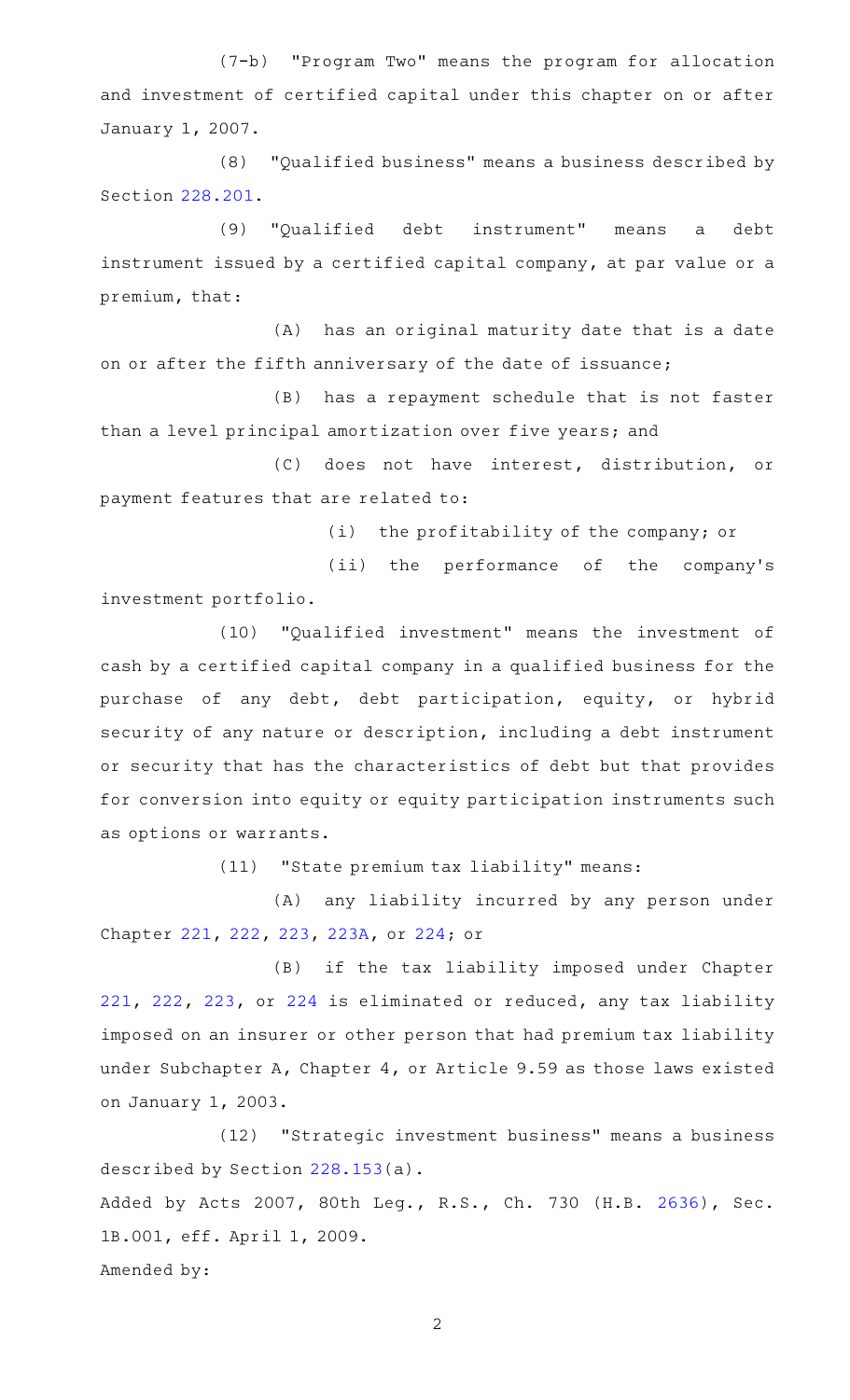(7-b) "Program Two" means the program for allocation and investment of certified capital under this chapter on or after January 1, 2007.

(8) "Qualified business" means a business described by Section [228.201.](http://www.statutes.legis.state.tx.us/GetStatute.aspx?Code=IN&Value=228.201)

(9) "Qualified debt instrument" means a debt instrument issued by a certified capital company, at par value or a premium, that:

(A) has an original maturity date that is a date on or after the fifth anniversary of the date of issuance;

(B) has a repayment schedule that is not faster than a level principal amortization over five years; and

(C) does not have interest, distribution, or payment features that are related to:

(i) the profitability of the company; or

(ii) the performance of the company's investment portfolio.

(10) "Qualified investment" means the investment of cash by a certified capital company in a qualified business for the purchase of any debt, debt participation, equity, or hybrid security of any nature or description, including a debt instrument or security that has the characteristics of debt but that provides for conversion into equity or equity participation instruments such as options or warrants.

(11) "State premium tax liability" means:

(A) any liability incurred by any person under Chapter [221,](http://www.statutes.legis.state.tx.us/GetStatute.aspx?Code=IN&Value=221) [222,](http://www.statutes.legis.state.tx.us/GetStatute.aspx?Code=IN&Value=222) [223,](http://www.statutes.legis.state.tx.us/GetStatute.aspx?Code=IN&Value=223) [223A,](http://www.statutes.legis.state.tx.us/GetStatute.aspx?Code=IN&Value=223A) or [224](http://www.statutes.legis.state.tx.us/GetStatute.aspx?Code=IN&Value=224); or

(B) if the tax liability imposed under Chapter [221,](http://www.statutes.legis.state.tx.us/GetStatute.aspx?Code=IN&Value=221) [222,](http://www.statutes.legis.state.tx.us/GetStatute.aspx?Code=IN&Value=222) [223](http://www.statutes.legis.state.tx.us/GetStatute.aspx?Code=IN&Value=223), or [224](http://www.statutes.legis.state.tx.us/GetStatute.aspx?Code=IN&Value=224) is eliminated or reduced, any tax liability imposed on an insurer or other person that had premium tax liability under Subchapter A, Chapter 4, or Article 9.59 as those laws existed on January 1, 2003.

(12) "Strategic investment business" means a business described by Section [228.153\(](http://www.statutes.legis.state.tx.us/GetStatute.aspx?Code=IN&Value=228.153)a). Added by Acts 2007, 80th Leg., R.S., Ch. 730 (H.B. [2636](http://www.legis.state.tx.us/tlodocs/80R/billtext/html/HB02636F.HTM)), Sec. 1B.001, eff. April 1, 2009. Amended by: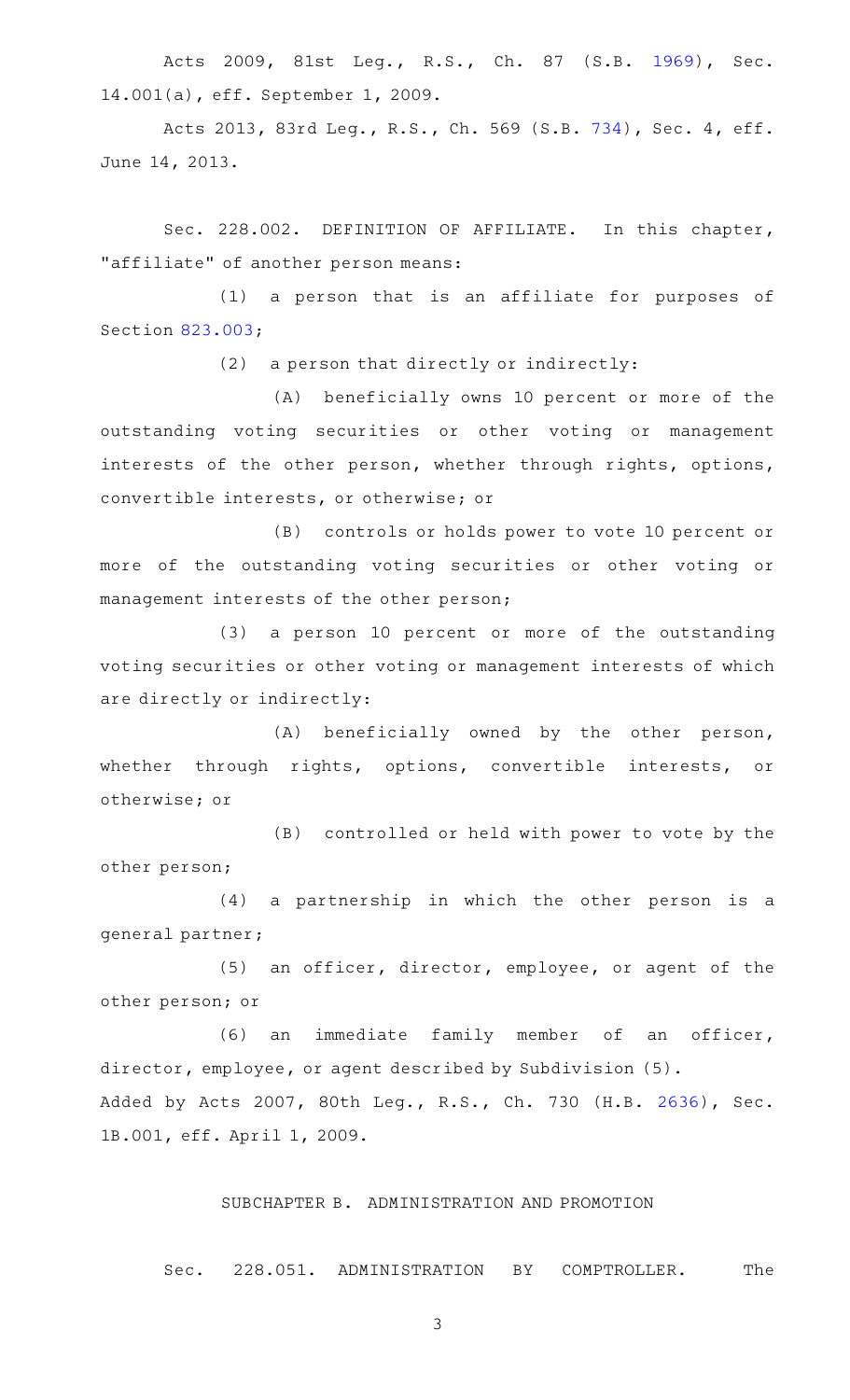Acts 2009, 81st Leg., R.S., Ch. 87 (S.B. [1969\)](http://www.legis.state.tx.us/tlodocs/81R/billtext/html/SB01969F.HTM), Sec. 14.001(a), eff. September 1, 2009.

Acts 2013, 83rd Leg., R.S., Ch. 569 (S.B. [734](http://www.legis.state.tx.us/tlodocs/83R/billtext/html/SB00734F.HTM)), Sec. 4, eff. June 14, 2013.

Sec. 228.002. DEFINITION OF AFFILIATE. In this chapter, "affiliate" of another person means:

(1) a person that is an affiliate for purposes of Section [823.003;](http://www.statutes.legis.state.tx.us/GetStatute.aspx?Code=IN&Value=823.003)

 $(2)$  a person that directly or indirectly:

(A) beneficially owns 10 percent or more of the outstanding voting securities or other voting or management interests of the other person, whether through rights, options, convertible interests, or otherwise; or

(B) controls or holds power to vote 10 percent or more of the outstanding voting securities or other voting or management interests of the other person;

(3) a person 10 percent or more of the outstanding voting securities or other voting or management interests of which are directly or indirectly:

 $(A)$  beneficially owned by the other person, whether through rights, options, convertible interests, or otherwise; or

(B) controlled or held with power to vote by the other person;

(4) a partnership in which the other person is a general partner;

(5) an officer, director, employee, or agent of the other person; or

(6) an immediate family member of an officer, director, employee, or agent described by Subdivision (5). Added by Acts 2007, 80th Leg., R.S., Ch. 730 (H.B. [2636](http://www.legis.state.tx.us/tlodocs/80R/billtext/html/HB02636F.HTM)), Sec. 1B.001, eff. April 1, 2009.

# SUBCHAPTER B. ADMINISTRATION AND PROMOTION

Sec. 228.051. ADMINISTRATION BY COMPTROLLER. The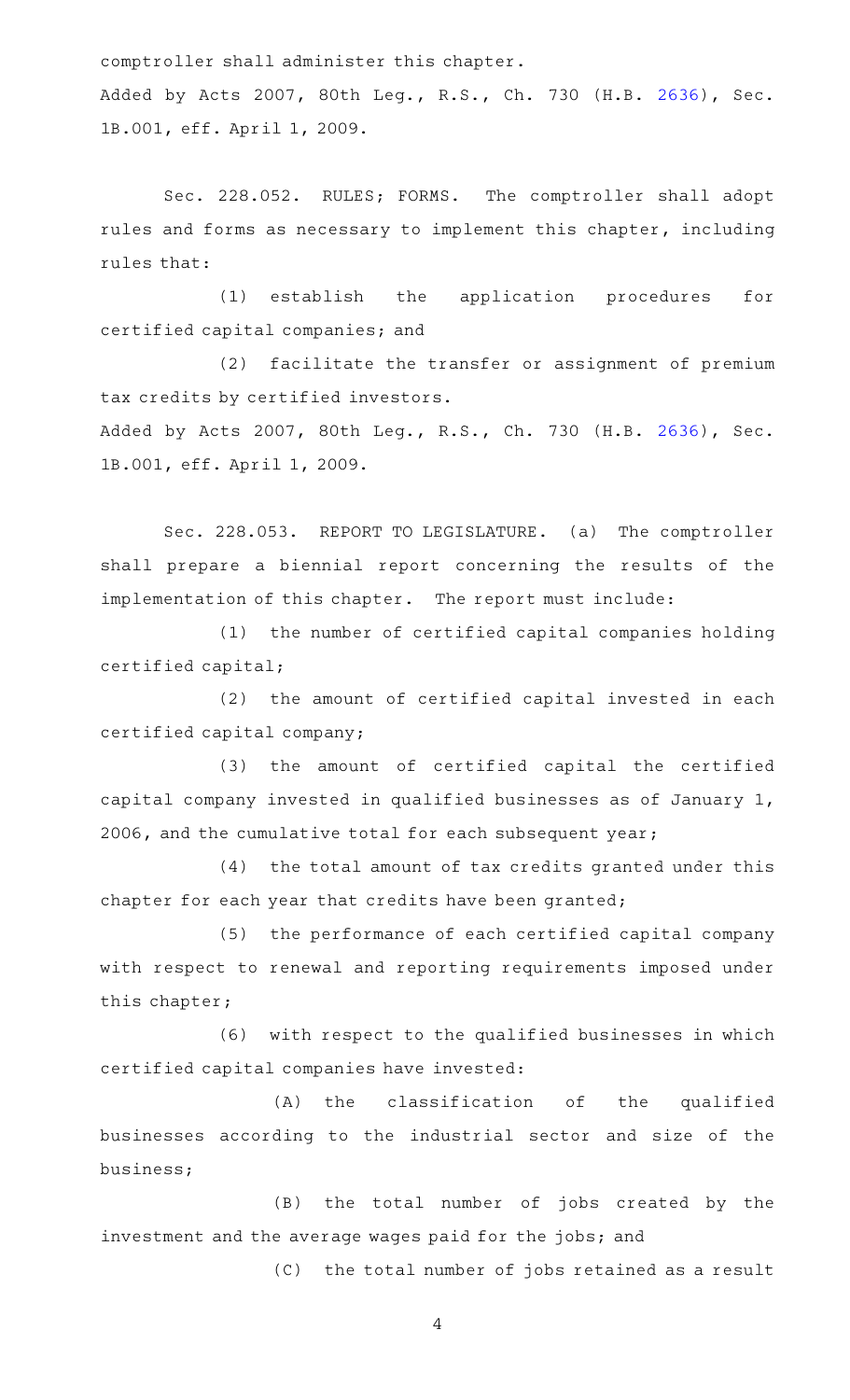comptroller shall administer this chapter.

Added by Acts 2007, 80th Leg., R.S., Ch. 730 (H.B. [2636](http://www.legis.state.tx.us/tlodocs/80R/billtext/html/HB02636F.HTM)), Sec. 1B.001, eff. April 1, 2009.

Sec. 228.052. RULES; FORMS. The comptroller shall adopt rules and forms as necessary to implement this chapter, including rules that:

(1) establish the application procedures for certified capital companies; and

(2) facilitate the transfer or assignment of premium tax credits by certified investors. Added by Acts 2007, 80th Leg., R.S., Ch. 730 (H.B. [2636](http://www.legis.state.tx.us/tlodocs/80R/billtext/html/HB02636F.HTM)), Sec.

1B.001, eff. April 1, 2009.

Sec. 228.053. REPORT TO LEGISLATURE. (a) The comptroller shall prepare a biennial report concerning the results of the implementation of this chapter. The report must include:

(1) the number of certified capital companies holding certified capital;

(2) the amount of certified capital invested in each certified capital company;

(3) the amount of certified capital the certified capital company invested in qualified businesses as of January 1, 2006, and the cumulative total for each subsequent year;

(4) the total amount of tax credits granted under this chapter for each year that credits have been granted;

(5) the performance of each certified capital company with respect to renewal and reporting requirements imposed under this chapter;

(6) with respect to the qualified businesses in which certified capital companies have invested:

 $(A)$  the classification of the qualified businesses according to the industrial sector and size of the business;

(B) the total number of jobs created by the investment and the average wages paid for the jobs; and

(C) the total number of jobs retained as a result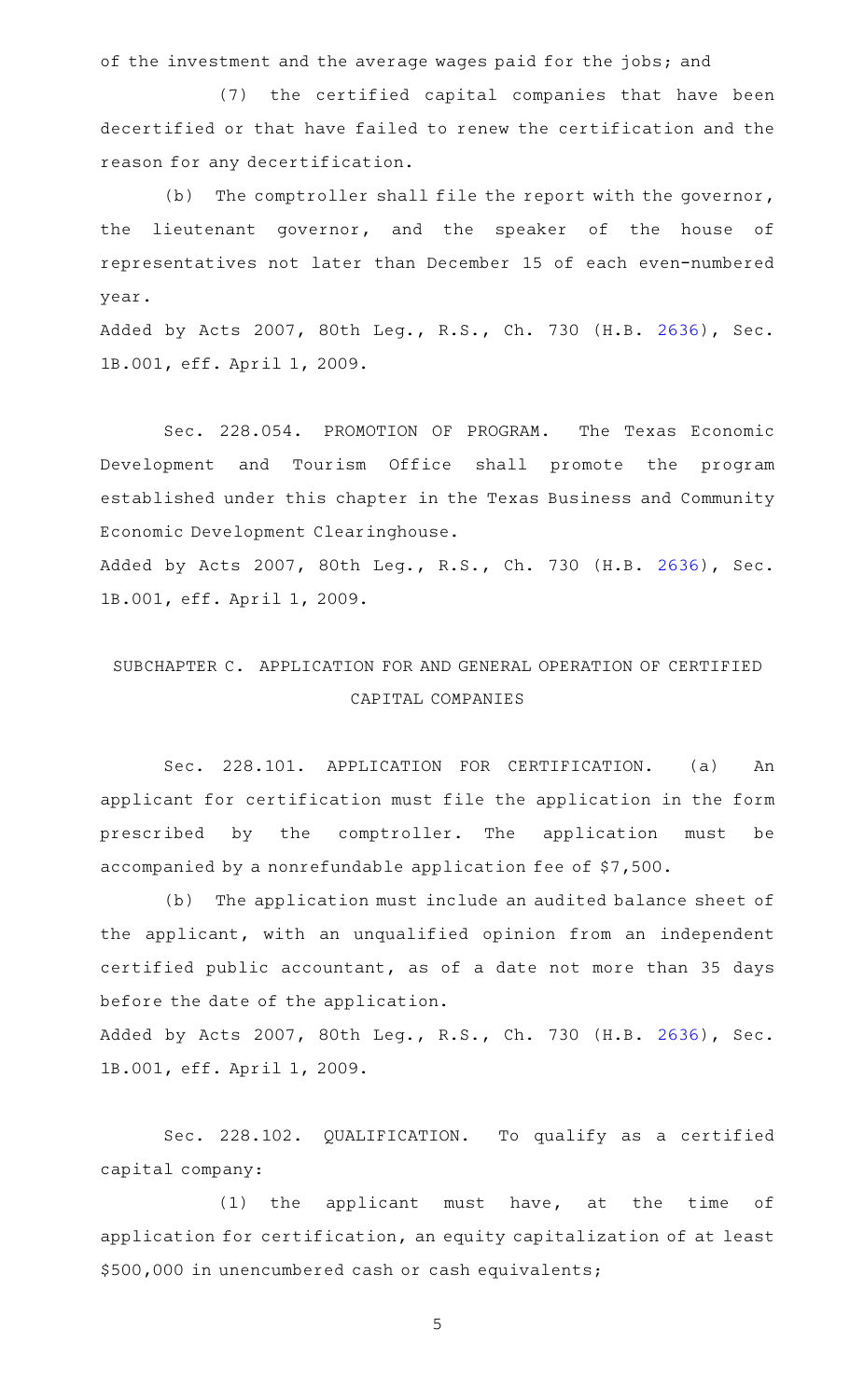of the investment and the average wages paid for the jobs; and

(7) the certified capital companies that have been decertified or that have failed to renew the certification and the reason for any decertification.

(b) The comptroller shall file the report with the governor, the lieutenant governor, and the speaker of the house of representatives not later than December 15 of each even-numbered year.

Added by Acts 2007, 80th Leg., R.S., Ch. 730 (H.B. [2636](http://www.legis.state.tx.us/tlodocs/80R/billtext/html/HB02636F.HTM)), Sec. 1B.001, eff. April 1, 2009.

Sec. 228.054. PROMOTION OF PROGRAM. The Texas Economic Development and Tourism Office shall promote the program established under this chapter in the Texas Business and Community Economic Development Clearinghouse.

Added by Acts 2007, 80th Leg., R.S., Ch. 730 (H.B. [2636](http://www.legis.state.tx.us/tlodocs/80R/billtext/html/HB02636F.HTM)), Sec. 1B.001, eff. April 1, 2009.

# SUBCHAPTER C. APPLICATION FOR AND GENERAL OPERATION OF CERTIFIED CAPITAL COMPANIES

Sec. 228.101. APPLICATION FOR CERTIFICATION. (a) An applicant for certification must file the application in the form prescribed by the comptroller. The application must be accompanied by a nonrefundable application fee of \$7,500.

(b) The application must include an audited balance sheet of the applicant, with an unqualified opinion from an independent certified public accountant, as of a date not more than 35 days before the date of the application.

Added by Acts 2007, 80th Leg., R.S., Ch. 730 (H.B. [2636](http://www.legis.state.tx.us/tlodocs/80R/billtext/html/HB02636F.HTM)), Sec. 1B.001, eff. April 1, 2009.

Sec. 228.102. QUALIFICATION. To qualify as a certified capital company:

 $(1)$  the applicant must have, at the time of application for certification, an equity capitalization of at least \$500,000 in unencumbered cash or cash equivalents;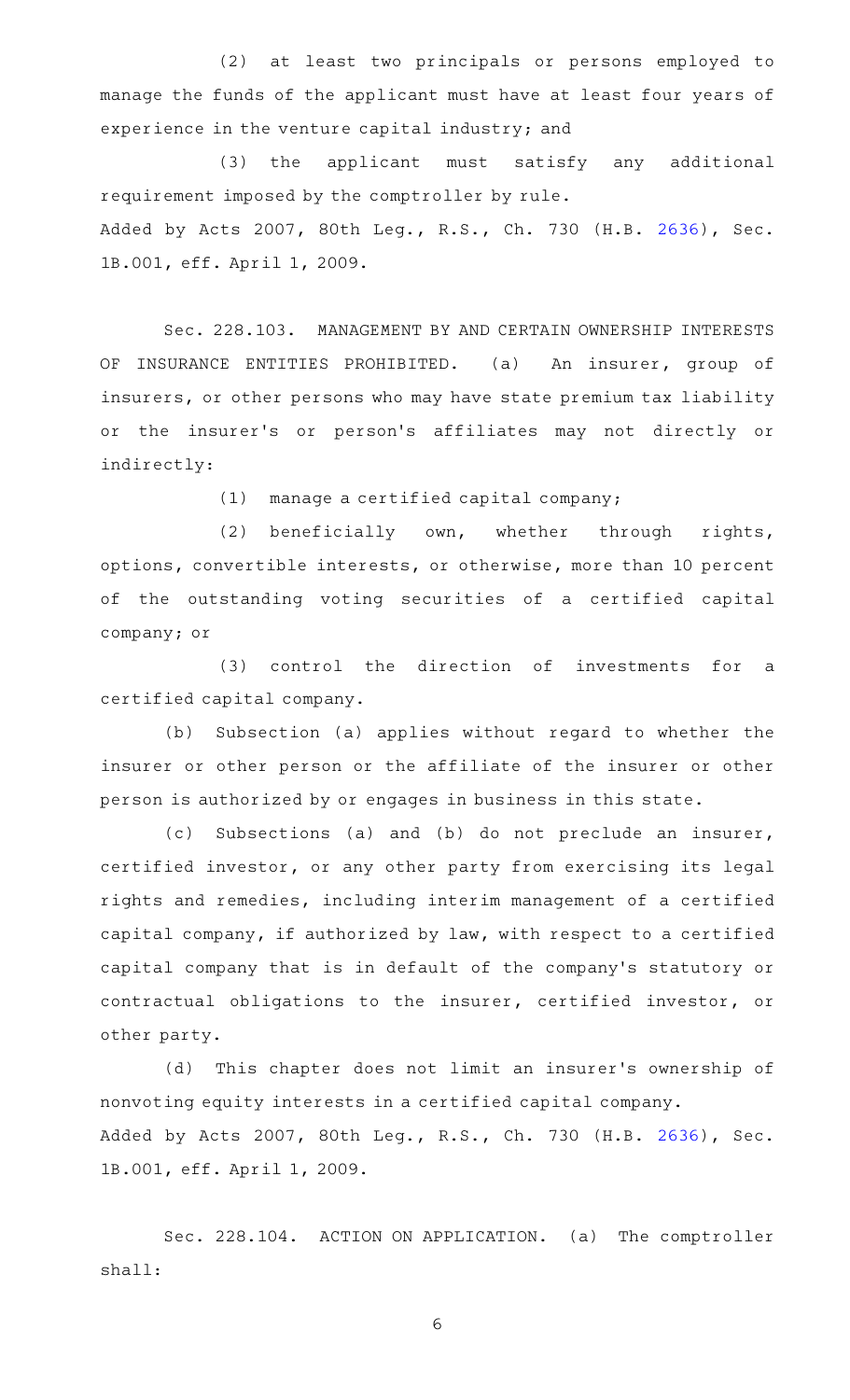(2) at least two principals or persons employed to manage the funds of the applicant must have at least four years of experience in the venture capital industry; and

(3) the applicant must satisfy any additional requirement imposed by the comptroller by rule. Added by Acts 2007, 80th Leg., R.S., Ch. 730 (H.B. [2636](http://www.legis.state.tx.us/tlodocs/80R/billtext/html/HB02636F.HTM)), Sec. 1B.001, eff. April 1, 2009.

Sec. 228.103. MANAGEMENT BY AND CERTAIN OWNERSHIP INTERESTS OF INSURANCE ENTITIES PROHIBITED. (a) An insurer, group of insurers, or other persons who may have state premium tax liability or the insurer's or person's affiliates may not directly or indirectly:

 $(1)$  manage a certified capital company;

(2) beneficially own, whether through rights, options, convertible interests, or otherwise, more than 10 percent of the outstanding voting securities of a certified capital company; or

 $(3)$  control the direction of investments for a certified capital company.

(b) Subsection (a) applies without regard to whether the insurer or other person or the affiliate of the insurer or other person is authorized by or engages in business in this state.

(c) Subsections (a) and (b) do not preclude an insurer, certified investor, or any other party from exercising its legal rights and remedies, including interim management of a certified capital company, if authorized by law, with respect to a certified capital company that is in default of the company 's statutory or contractual obligations to the insurer, certified investor, or other party.

(d) This chapter does not limit an insurer's ownership of nonvoting equity interests in a certified capital company. Added by Acts 2007, 80th Leg., R.S., Ch. 730 (H.B. [2636](http://www.legis.state.tx.us/tlodocs/80R/billtext/html/HB02636F.HTM)), Sec. 1B.001, eff. April 1, 2009.

Sec. 228.104. ACTION ON APPLICATION. (a) The comptroller shall: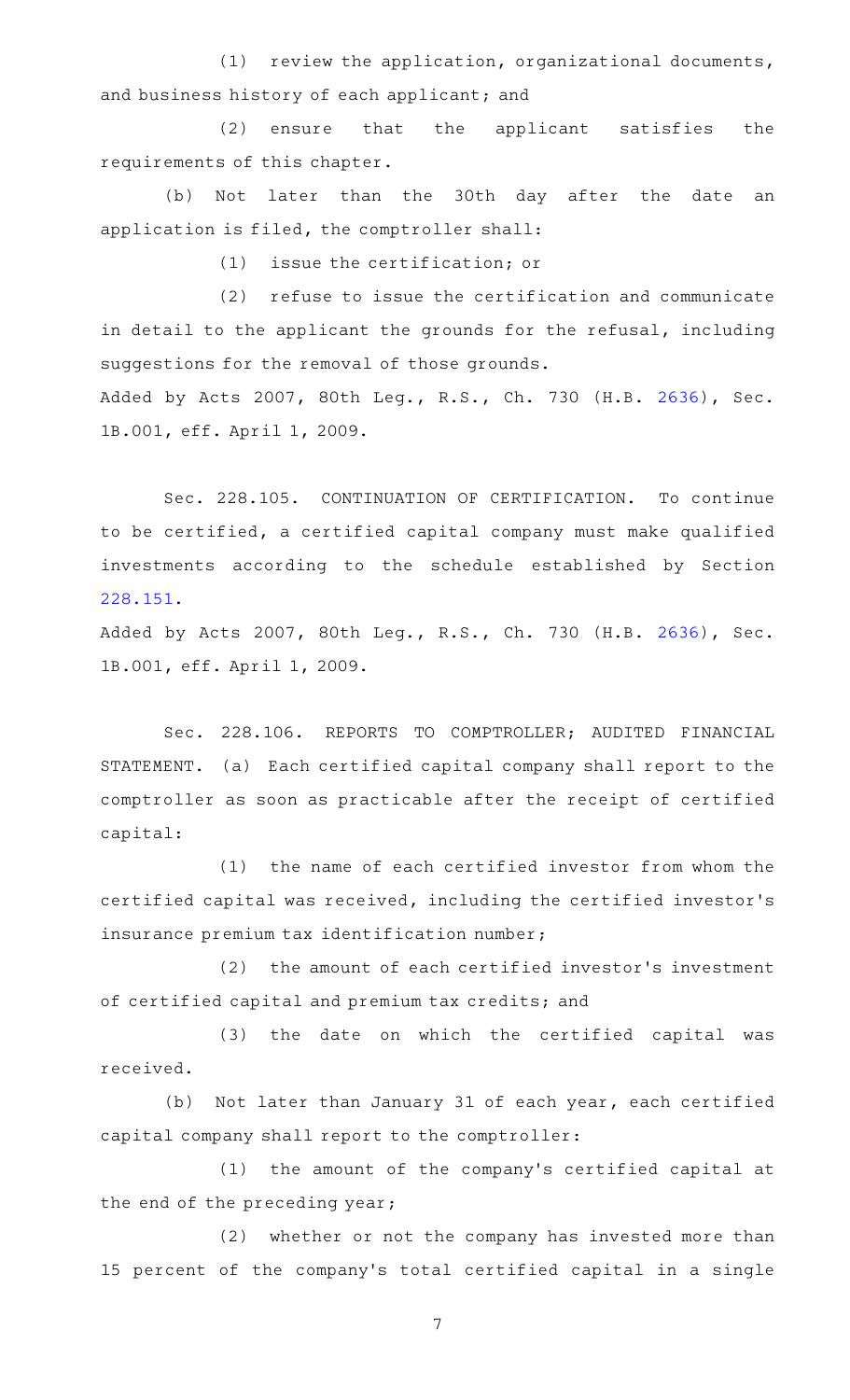$(1)$  review the application, organizational documents, and business history of each applicant; and

(2) ensure that the applicant satisfies the requirements of this chapter.

(b) Not later than the 30th day after the date an application is filed, the comptroller shall:

 $(1)$  issue the certification; or

(2) refuse to issue the certification and communicate in detail to the applicant the grounds for the refusal, including suggestions for the removal of those grounds. Added by Acts 2007, 80th Leg., R.S., Ch. 730 (H.B. [2636](http://www.legis.state.tx.us/tlodocs/80R/billtext/html/HB02636F.HTM)), Sec. 1B.001, eff. April 1, 2009.

Sec. 228.105. CONTINUATION OF CERTIFICATION. To continue to be certified, a certified capital company must make qualified investments according to the schedule established by Section [228.151.](http://www.statutes.legis.state.tx.us/GetStatute.aspx?Code=IN&Value=228.151)

Added by Acts 2007, 80th Leg., R.S., Ch. 730 (H.B. [2636](http://www.legis.state.tx.us/tlodocs/80R/billtext/html/HB02636F.HTM)), Sec. 1B.001, eff. April 1, 2009.

Sec. 228.106. REPORTS TO COMPTROLLER; AUDITED FINANCIAL STATEMENT. (a) Each certified capital company shall report to the comptroller as soon as practicable after the receipt of certified capital:

(1) the name of each certified investor from whom the certified capital was received, including the certified investor 's insurance premium tax identification number;

(2) the amount of each certified investor's investment of certified capital and premium tax credits; and

(3) the date on which the certified capital was received.

(b) Not later than January 31 of each year, each certified capital company shall report to the comptroller:

(1) the amount of the company's certified capital at the end of the preceding year;

(2) whether or not the company has invested more than 15 percent of the company 's total certified capital in a single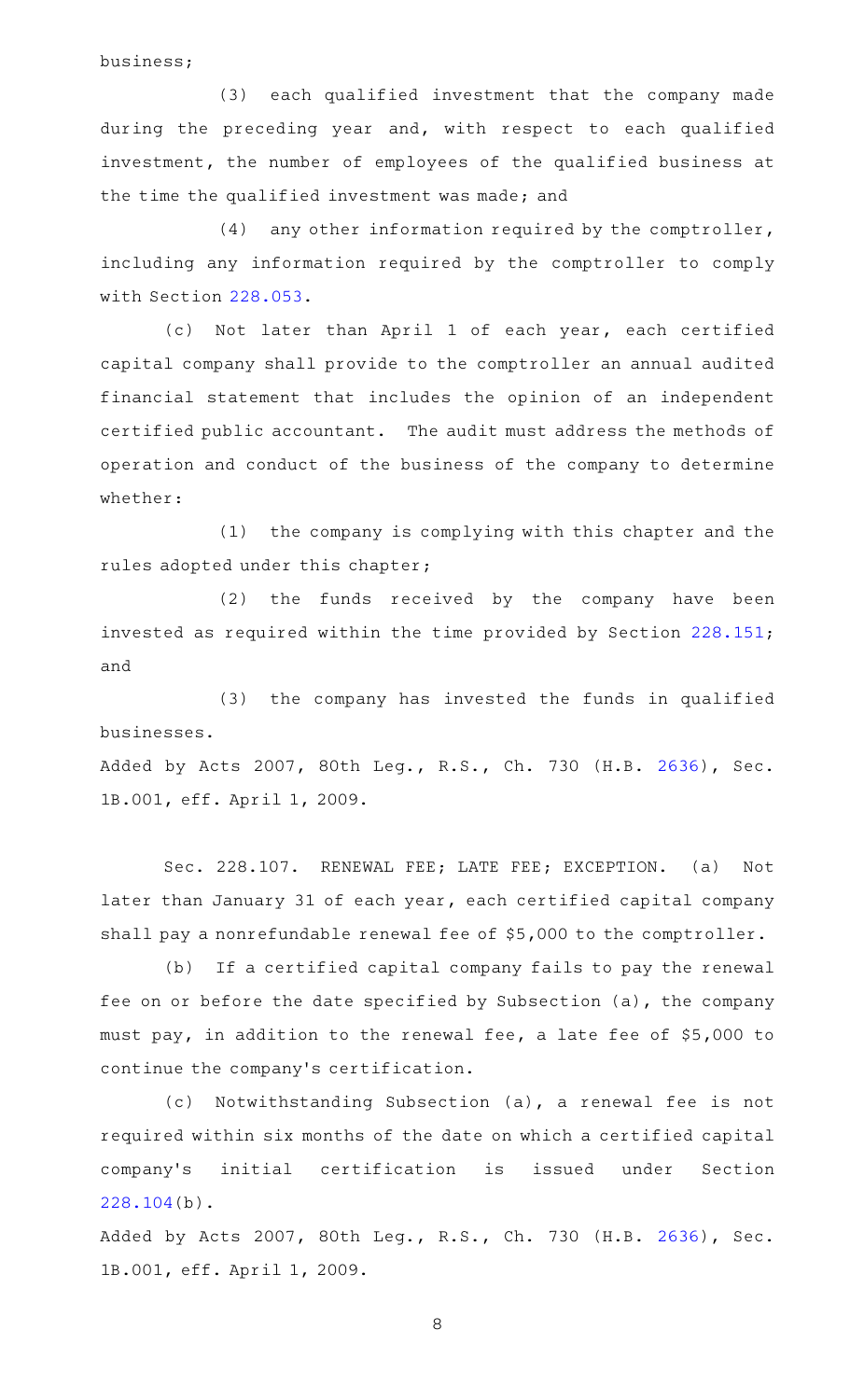business;

(3) each qualified investment that the company made during the preceding year and, with respect to each qualified investment, the number of employees of the qualified business at the time the qualified investment was made; and

 $(4)$  any other information required by the comptroller, including any information required by the comptroller to comply with Section [228.053.](http://www.statutes.legis.state.tx.us/GetStatute.aspx?Code=IN&Value=228.053)

(c) Not later than April 1 of each year, each certified capital company shall provide to the comptroller an annual audited financial statement that includes the opinion of an independent certified public accountant. The audit must address the methods of operation and conduct of the business of the company to determine whether:

(1) the company is complying with this chapter and the rules adopted under this chapter;

(2) the funds received by the company have been invested as required within the time provided by Section [228.151](http://www.statutes.legis.state.tx.us/GetStatute.aspx?Code=IN&Value=228.151); and

(3) the company has invested the funds in qualified businesses.

Added by Acts 2007, 80th Leg., R.S., Ch. 730 (H.B. [2636](http://www.legis.state.tx.us/tlodocs/80R/billtext/html/HB02636F.HTM)), Sec. 1B.001, eff. April 1, 2009.

Sec. 228.107. RENEWAL FEE; LATE FEE; EXCEPTION. (a) Not later than January 31 of each year, each certified capital company shall pay a nonrefundable renewal fee of \$5,000 to the comptroller.

(b) If a certified capital company fails to pay the renewal fee on or before the date specified by Subsection (a), the company must pay, in addition to the renewal fee, a late fee of \$5,000 to continue the company 's certification.

(c) Notwithstanding Subsection (a), a renewal fee is not required within six months of the date on which a certified capital company 's initial certification is issued under Section [228.104\(](http://www.statutes.legis.state.tx.us/GetStatute.aspx?Code=IN&Value=228.104)b).

Added by Acts 2007, 80th Leg., R.S., Ch. 730 (H.B. [2636](http://www.legis.state.tx.us/tlodocs/80R/billtext/html/HB02636F.HTM)), Sec. 1B.001, eff. April 1, 2009.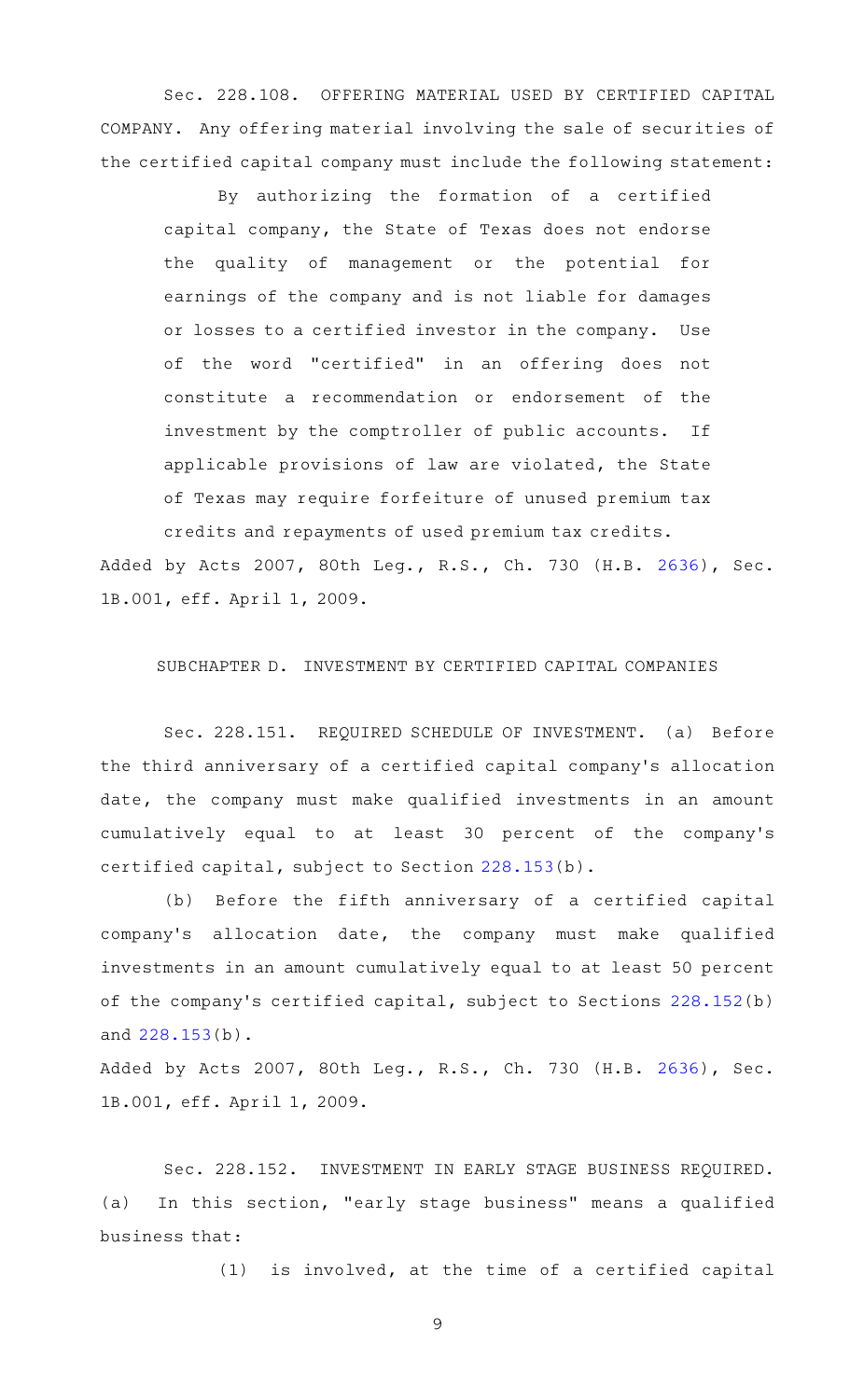Sec. 228.108. OFFERING MATERIAL USED BY CERTIFIED CAPITAL COMPANY. Any offering material involving the sale of securities of the certified capital company must include the following statement:

By authorizing the formation of a certified capital company, the State of Texas does not endorse the quality of management or the potential for earnings of the company and is not liable for damages or losses to a certified investor in the company. Use of the word "certified" in an offering does not constitute a recommendation or endorsement of the investment by the comptroller of public accounts. If applicable provisions of law are violated, the State of Texas may require forfeiture of unused premium tax credits and repayments of used premium tax credits.

Added by Acts 2007, 80th Leg., R.S., Ch. 730 (H.B. [2636](http://www.legis.state.tx.us/tlodocs/80R/billtext/html/HB02636F.HTM)), Sec. 1B.001, eff. April 1, 2009.

# SUBCHAPTER D. INVESTMENT BY CERTIFIED CAPITAL COMPANIES

Sec. 228.151. REQUIRED SCHEDULE OF INVESTMENT. (a) Before the third anniversary of a certified capital company 's allocation date, the company must make qualified investments in an amount cumulatively equal to at least 30 percent of the company 's certified capital, subject to Section [228.153](http://www.statutes.legis.state.tx.us/GetStatute.aspx?Code=IN&Value=228.153)(b).

(b) Before the fifth anniversary of a certified capital company 's allocation date, the company must make qualified investments in an amount cumulatively equal to at least 50 percent of the company 's certified capital, subject to Sections [228.152](http://www.statutes.legis.state.tx.us/GetStatute.aspx?Code=IN&Value=228.152)(b) and [228.153\(](http://www.statutes.legis.state.tx.us/GetStatute.aspx?Code=IN&Value=228.153)b).

Added by Acts 2007, 80th Leg., R.S., Ch. 730 (H.B. [2636](http://www.legis.state.tx.us/tlodocs/80R/billtext/html/HB02636F.HTM)), Sec. 1B.001, eff. April 1, 2009.

Sec. 228.152. INVESTMENT IN EARLY STAGE BUSINESS REQUIRED. (a) In this section, "early stage business" means a qualified business that:

 $(1)$  is involved, at the time of a certified capital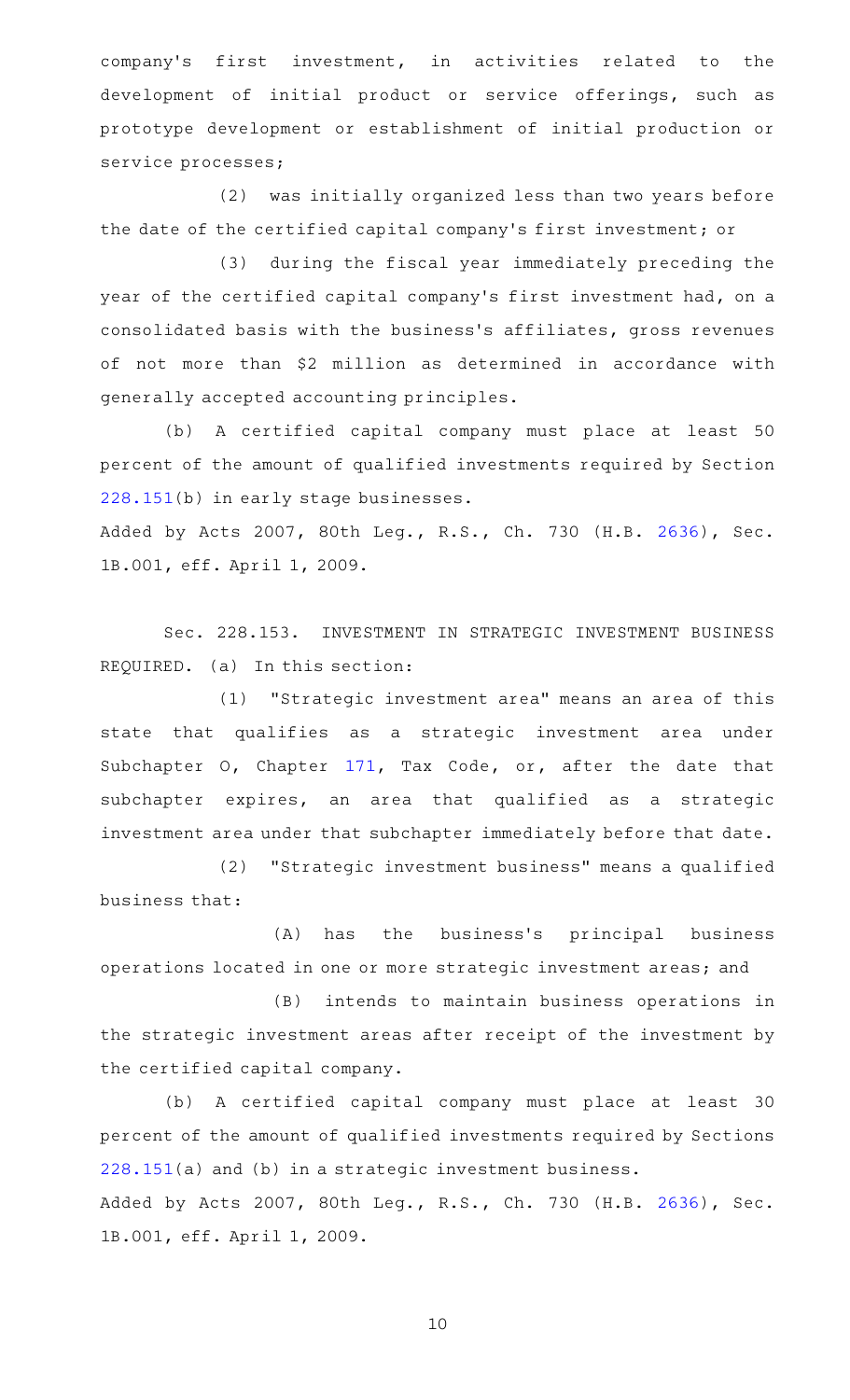company's first investment, in activities related to the development of initial product or service offerings, such as prototype development or establishment of initial production or service processes;

(2) was initially organized less than two years before the date of the certified capital company 's first investment; or

(3) during the fiscal year immediately preceding the year of the certified capital company 's first investment had, on a consolidated basis with the business's affiliates, gross revenues of not more than \$2 million as determined in accordance with generally accepted accounting principles.

(b) A certified capital company must place at least 50 percent of the amount of qualified investments required by Section [228.151\(](http://www.statutes.legis.state.tx.us/GetStatute.aspx?Code=IN&Value=228.151)b) in early stage businesses.

Added by Acts 2007, 80th Leg., R.S., Ch. 730 (H.B. [2636](http://www.legis.state.tx.us/tlodocs/80R/billtext/html/HB02636F.HTM)), Sec. 1B.001, eff. April 1, 2009.

Sec. 228.153. INVESTMENT IN STRATEGIC INVESTMENT BUSINESS REQUIRED. (a) In this section:

(1) "Strategic investment area" means an area of this state that qualifies as a strategic investment area under Subchapter O, Chapter [171,](http://www.statutes.legis.state.tx.us/GetStatute.aspx?Code=TX&Value=171) Tax Code, or, after the date that subchapter expires, an area that qualified as a strategic investment area under that subchapter immediately before that date.

(2) "Strategic investment business" means a qualified business that:

(A) has the business's principal business operations located in one or more strategic investment areas; and

(B) intends to maintain business operations in the strategic investment areas after receipt of the investment by the certified capital company.

(b) A certified capital company must place at least 30 percent of the amount of qualified investments required by Sections [228.151\(](http://www.statutes.legis.state.tx.us/GetStatute.aspx?Code=IN&Value=228.151)a) and (b) in a strategic investment business. Added by Acts 2007, 80th Leg., R.S., Ch. 730 (H.B. [2636](http://www.legis.state.tx.us/tlodocs/80R/billtext/html/HB02636F.HTM)), Sec. 1B.001, eff. April 1, 2009.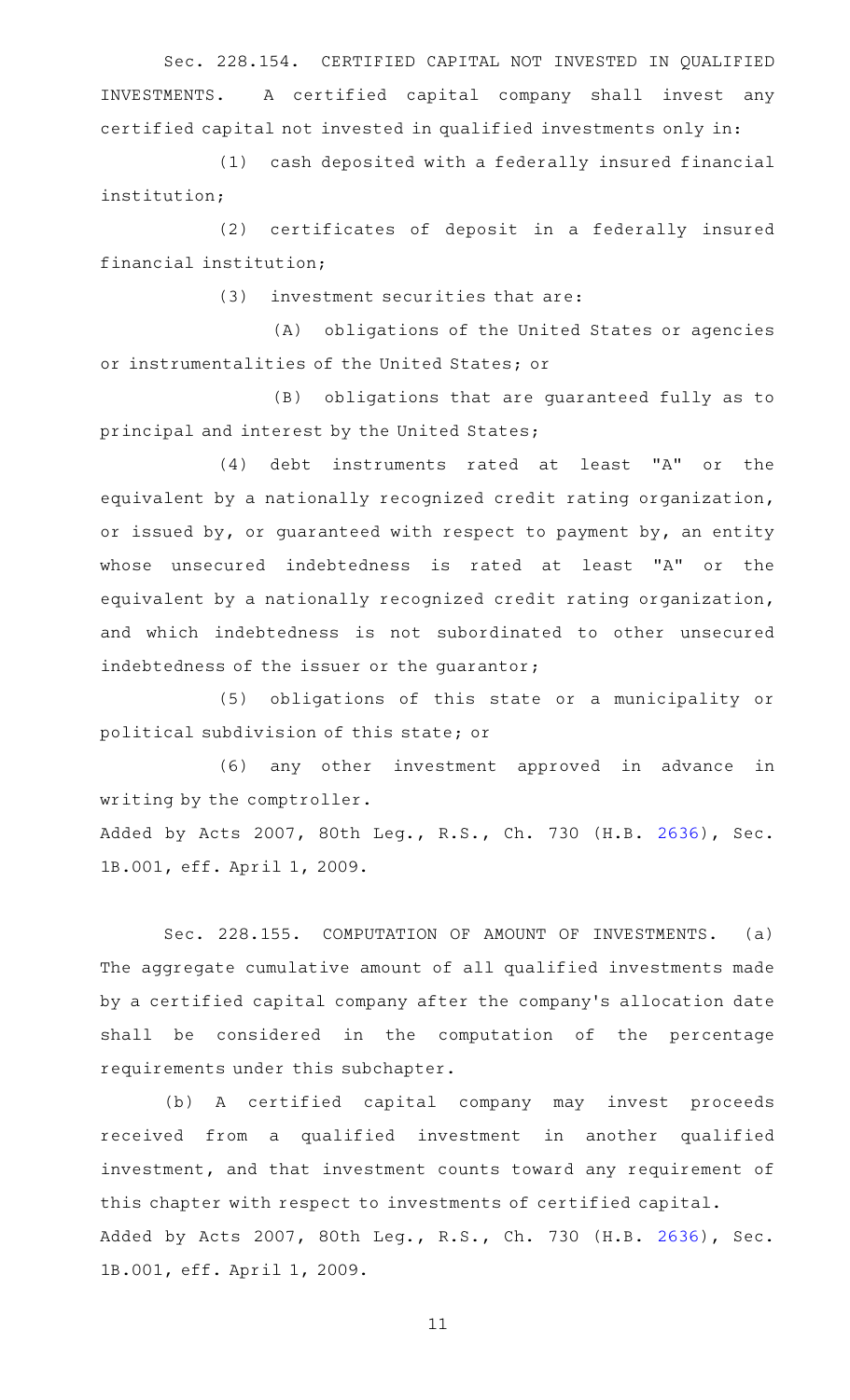Sec. 228.154. CERTIFIED CAPITAL NOT INVESTED IN QUALIFIED INVESTMENTS. A certified capital company shall invest any certified capital not invested in qualified investments only in:

(1) cash deposited with a federally insured financial institution;

(2) certificates of deposit in a federally insured financial institution;

 $(3)$  investment securities that are:

(A) obligations of the United States or agencies or instrumentalities of the United States; or

(B) obligations that are guaranteed fully as to principal and interest by the United States;

 $(4)$  debt instruments rated at least "A" or the equivalent by a nationally recognized credit rating organization, or issued by, or guaranteed with respect to payment by, an entity whose unsecured indebtedness is rated at least "A" or the equivalent by a nationally recognized credit rating organization, and which indebtedness is not subordinated to other unsecured indebtedness of the issuer or the guarantor;

(5) obligations of this state or a municipality or political subdivision of this state; or

(6) any other investment approved in advance in writing by the comptroller.

Added by Acts 2007, 80th Leg., R.S., Ch. 730 (H.B. [2636](http://www.legis.state.tx.us/tlodocs/80R/billtext/html/HB02636F.HTM)), Sec. 1B.001, eff. April 1, 2009.

Sec. 228.155. COMPUTATION OF AMOUNT OF INVESTMENTS. (a) The aggregate cumulative amount of all qualified investments made by a certified capital company after the company 's allocation date shall be considered in the computation of the percentage requirements under this subchapter.

(b) A certified capital company may invest proceeds received from a qualified investment in another qualified investment, and that investment counts toward any requirement of this chapter with respect to investments of certified capital. Added by Acts 2007, 80th Leg., R.S., Ch. 730 (H.B. [2636](http://www.legis.state.tx.us/tlodocs/80R/billtext/html/HB02636F.HTM)), Sec. 1B.001, eff. April 1, 2009.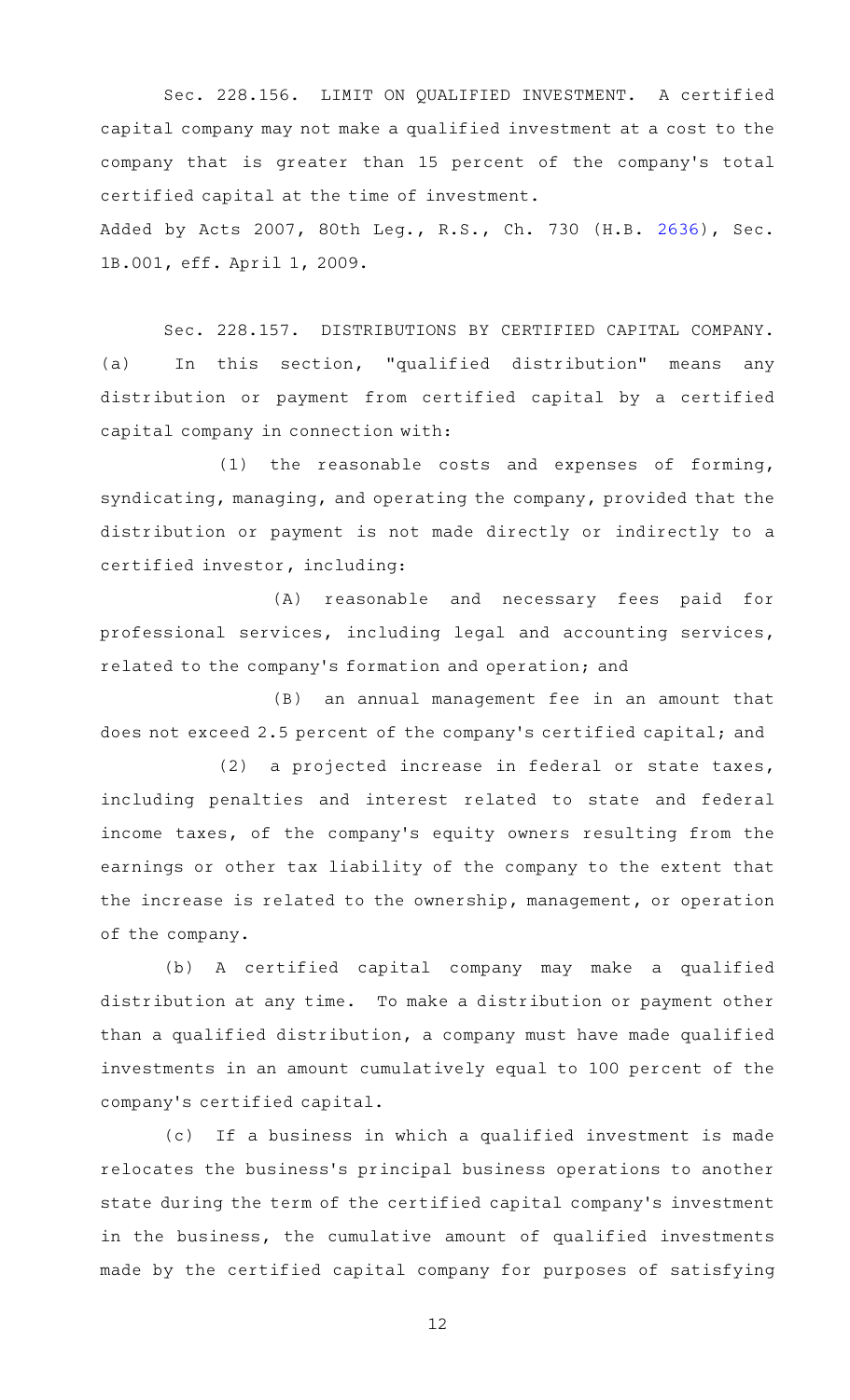Sec. 228.156. LIMIT ON QUALIFIED INVESTMENT. A certified capital company may not make a qualified investment at a cost to the company that is greater than 15 percent of the company 's total certified capital at the time of investment.

Added by Acts 2007, 80th Leg., R.S., Ch. 730 (H.B. [2636](http://www.legis.state.tx.us/tlodocs/80R/billtext/html/HB02636F.HTM)), Sec. 1B.001, eff. April 1, 2009.

Sec. 228.157. DISTRIBUTIONS BY CERTIFIED CAPITAL COMPANY. (a) In this section, "qualified distribution" means any distribution or payment from certified capital by a certified capital company in connection with:

 $(1)$  the reasonable costs and expenses of forming, syndicating, managing, and operating the company, provided that the distribution or payment is not made directly or indirectly to a certified investor, including:

(A) reasonable and necessary fees paid for professional services, including legal and accounting services, related to the company 's formation and operation; and

 $(B)$  an annual management fee in an amount that does not exceed 2.5 percent of the company 's certified capital; and

(2) a projected increase in federal or state taxes, including penalties and interest related to state and federal income taxes, of the company 's equity owners resulting from the earnings or other tax liability of the company to the extent that the increase is related to the ownership, management, or operation of the company.

(b) A certified capital company may make a qualified distribution at any time. To make a distribution or payment other than a qualified distribution, a company must have made qualified investments in an amount cumulatively equal to 100 percent of the company 's certified capital.

(c) If a business in which a qualified investment is made relocates the business 's principal business operations to another state during the term of the certified capital company 's investment in the business, the cumulative amount of qualified investments made by the certified capital company for purposes of satisfying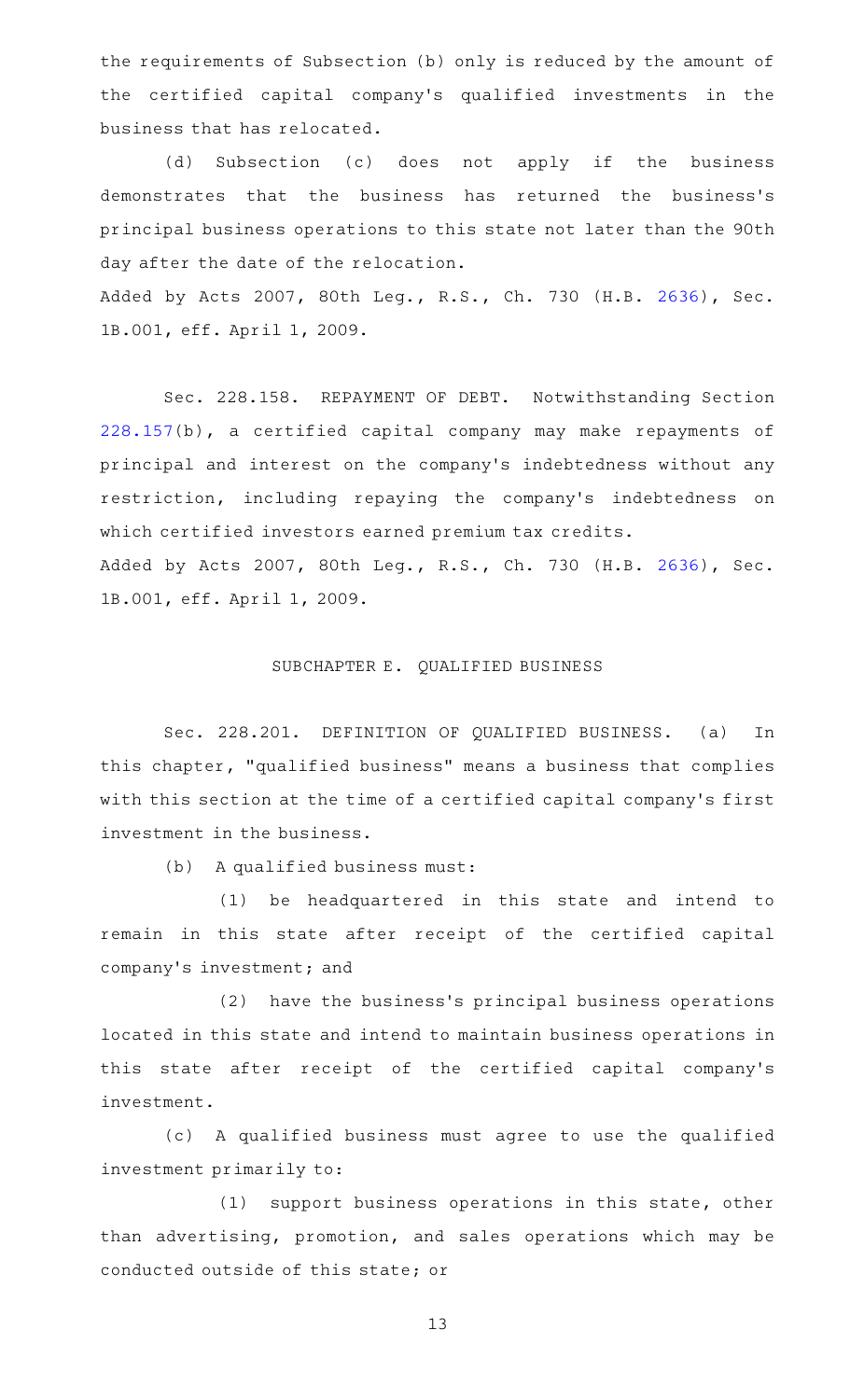the requirements of Subsection (b) only is reduced by the amount of the certified capital company 's qualified investments in the business that has relocated.

(d) Subsection (c) does not apply if the business demonstrates that the business has returned the business's principal business operations to this state not later than the 90th day after the date of the relocation. Added by Acts 2007, 80th Leg., R.S., Ch. 730 (H.B. [2636](http://www.legis.state.tx.us/tlodocs/80R/billtext/html/HB02636F.HTM)), Sec.

1B.001, eff. April 1, 2009.

Sec. 228.158. REPAYMENT OF DEBT. Notwithstanding Section [228.157\(](http://www.statutes.legis.state.tx.us/GetStatute.aspx?Code=IN&Value=228.157)b), a certified capital company may make repayments of principal and interest on the company 's indebtedness without any restriction, including repaying the company 's indebtedness on which certified investors earned premium tax credits. Added by Acts 2007, 80th Leg., R.S., Ch. 730 (H.B. [2636](http://www.legis.state.tx.us/tlodocs/80R/billtext/html/HB02636F.HTM)), Sec. 1B.001, eff. April 1, 2009.

#### SUBCHAPTER E. QUALIFIED BUSINESS

Sec. 228.201. DEFINITION OF QUALIFIED BUSINESS. (a) In this chapter, "qualified business" means a business that complies with this section at the time of a certified capital company 's first investment in the business.

 $(b)$  A qualified business must:

(1) be headquartered in this state and intend to remain in this state after receipt of the certified capital company's investment; and

(2) have the business's principal business operations located in this state and intend to maintain business operations in this state after receipt of the certified capital company 's investment.

(c)AAA qualified business must agree to use the qualified investment primarily to:

(1) support business operations in this state, other than advertising, promotion, and sales operations which may be conducted outside of this state; or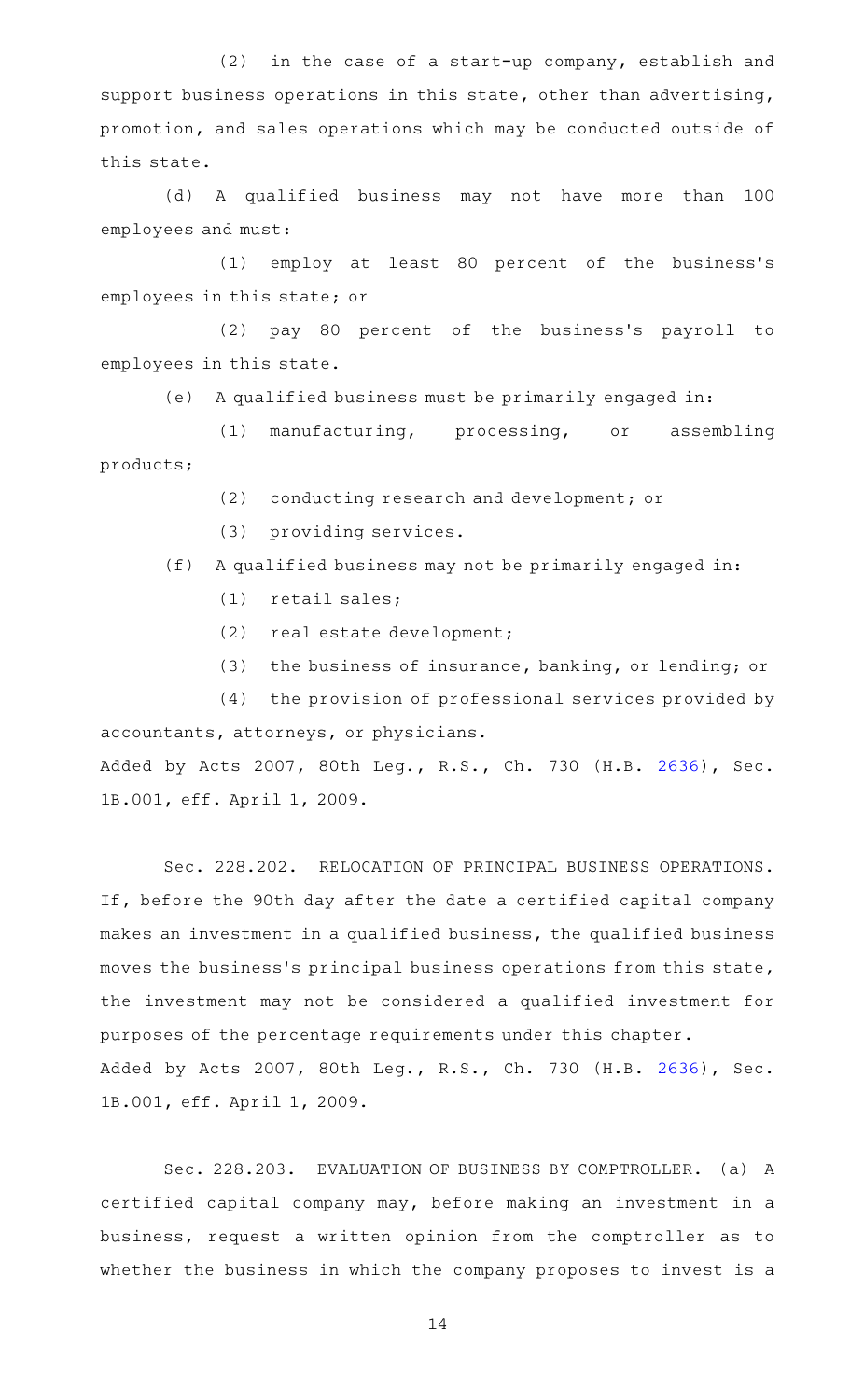$(2)$  in the case of a start-up company, establish and support business operations in this state, other than advertising, promotion, and sales operations which may be conducted outside of this state.

(d)AAA qualified business may not have more than 100 employees and must:

(1) employ at least 80 percent of the business's employees in this state; or

(2) pay 80 percent of the business's payroll to employees in this state.

(e) A qualified business must be primarily engaged in:

(1) manufacturing, processing, or assembling products;

- (2) conducting research and development; or
- (3) providing services.
- $(f)$  A qualified business may not be primarily engaged in:
	- $(1)$  retail sales;
	- (2) real estate development;
	- (3) the business of insurance, banking, or lending; or

 $(4)$  the provision of professional services provided by accountants, attorneys, or physicians. Added by Acts 2007, 80th Leg., R.S., Ch. 730 (H.B. [2636](http://www.legis.state.tx.us/tlodocs/80R/billtext/html/HB02636F.HTM)), Sec. 1B.001, eff. April 1, 2009.

Sec. 228.202. RELOCATION OF PRINCIPAL BUSINESS OPERATIONS. If, before the 90th day after the date a certified capital company makes an investment in a qualified business, the qualified business moves the business's principal business operations from this state, the investment may not be considered a qualified investment for purposes of the percentage requirements under this chapter. Added by Acts 2007, 80th Leg., R.S., Ch. 730 (H.B. [2636](http://www.legis.state.tx.us/tlodocs/80R/billtext/html/HB02636F.HTM)), Sec. 1B.001, eff. April 1, 2009.

Sec. 228.203. EVALUATION OF BUSINESS BY COMPTROLLER. (a) A certified capital company may, before making an investment in a business, request a written opinion from the comptroller as to whether the business in which the company proposes to invest is a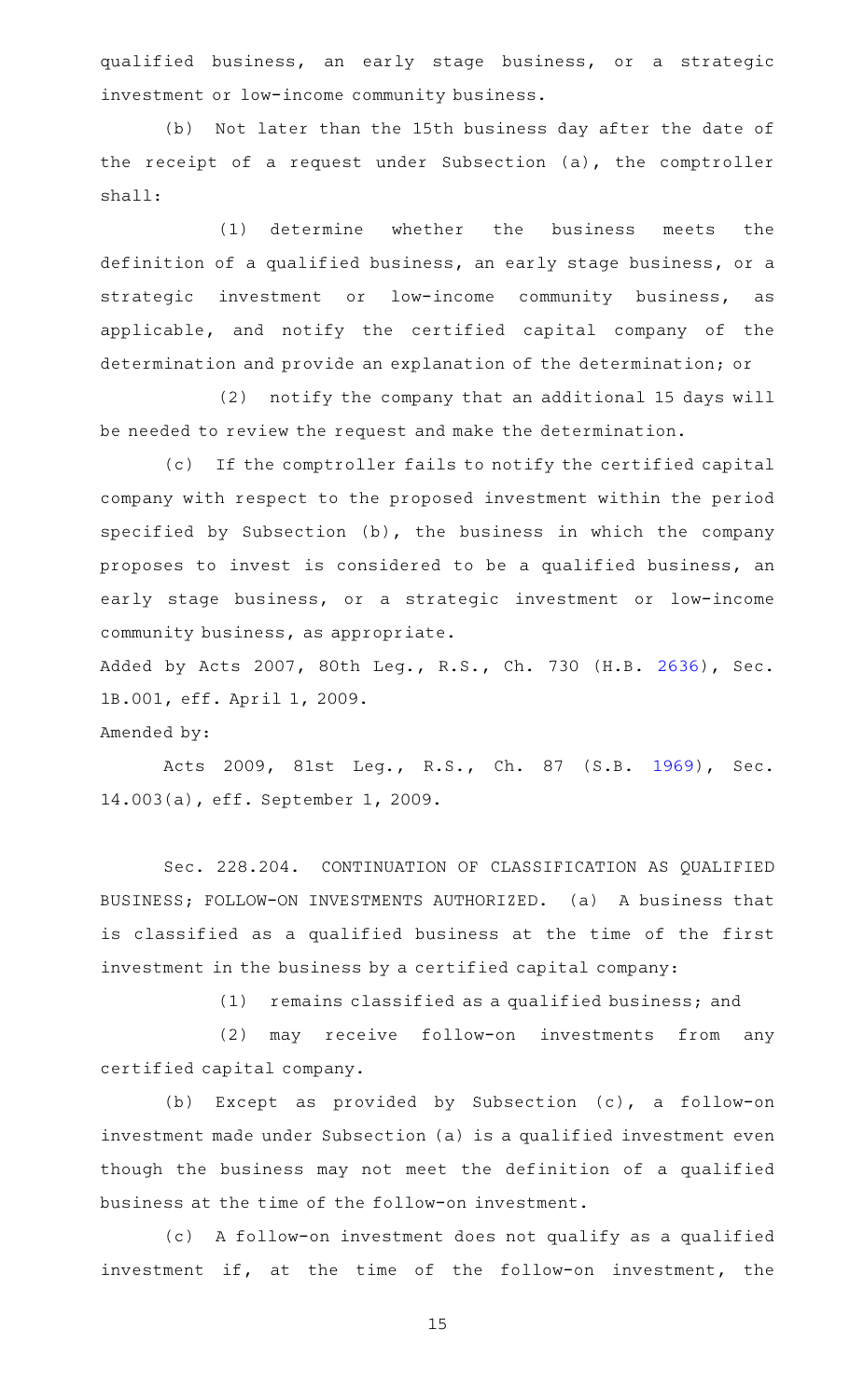qualified business, an early stage business, or a strategic investment or low-income community business.

(b) Not later than the 15th business day after the date of the receipt of a request under Subsection (a), the comptroller shall:

(1) determine whether the business meets the definition of a qualified business, an early stage business, or a strategic investment or low-income community business, as applicable, and notify the certified capital company of the determination and provide an explanation of the determination; or

(2) notify the company that an additional 15 days will be needed to review the request and make the determination.

(c) If the comptroller fails to notify the certified capital company with respect to the proposed investment within the period specified by Subsection (b), the business in which the company proposes to invest is considered to be a qualified business, an early stage business, or a strategic investment or low-income community business, as appropriate.

Added by Acts 2007, 80th Leg., R.S., Ch. 730 (H.B. [2636](http://www.legis.state.tx.us/tlodocs/80R/billtext/html/HB02636F.HTM)), Sec. 1B.001, eff. April 1, 2009.

#### Amended by:

Acts 2009, 81st Leg., R.S., Ch. 87 (S.B. [1969\)](http://www.legis.state.tx.us/tlodocs/81R/billtext/html/SB01969F.HTM), Sec. 14.003(a), eff. September 1, 2009.

Sec. 228.204. CONTINUATION OF CLASSIFICATION AS QUALIFIED BUSINESS; FOLLOW-ON INVESTMENTS AUTHORIZED. (a) A business that is classified as a qualified business at the time of the first investment in the business by a certified capital company:

 $(1)$  remains classified as a qualified business; and

(2) may receive follow-on investments from any certified capital company.

(b) Except as provided by Subsection (c), a follow-on investment made under Subsection (a) is a qualified investment even though the business may not meet the definition of a qualified business at the time of the follow-on investment.

(c) A follow-on investment does not qualify as a qualified investment if, at the time of the follow-on investment, the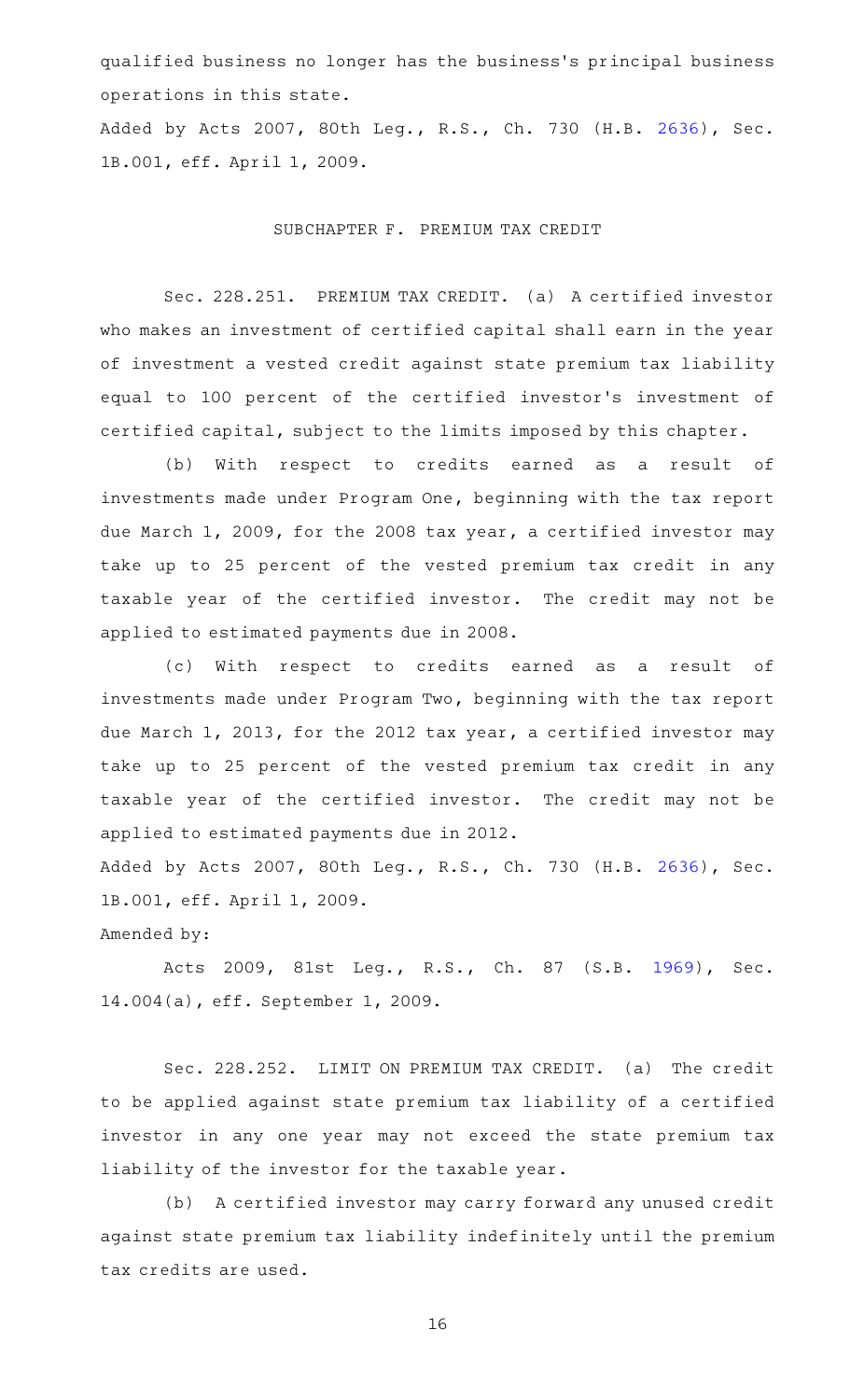qualified business no longer has the business 's principal business operations in this state.

Added by Acts 2007, 80th Leg., R.S., Ch. 730 (H.B. [2636](http://www.legis.state.tx.us/tlodocs/80R/billtext/html/HB02636F.HTM)), Sec. 1B.001, eff. April 1, 2009.

#### SUBCHAPTER F. PREMIUM TAX CREDIT

Sec. 228.251. PREMIUM TAX CREDIT. (a) A certified investor who makes an investment of certified capital shall earn in the year of investment a vested credit against state premium tax liability equal to 100 percent of the certified investor 's investment of certified capital, subject to the limits imposed by this chapter.

(b) With respect to credits earned as a result of investments made under Program One, beginning with the tax report due March 1, 2009, for the 2008 tax year, a certified investor may take up to 25 percent of the vested premium tax credit in any taxable year of the certified investor. The credit may not be applied to estimated payments due in 2008.

(c) With respect to credits earned as a result of investments made under Program Two, beginning with the tax report due March 1, 2013, for the 2012 tax year, a certified investor may take up to 25 percent of the vested premium tax credit in any taxable year of the certified investor. The credit may not be applied to estimated payments due in 2012. Added by Acts 2007, 80th Leg., R.S., Ch. 730 (H.B. [2636](http://www.legis.state.tx.us/tlodocs/80R/billtext/html/HB02636F.HTM)), Sec.

1B.001, eff. April 1, 2009.

Amended by:

Acts 2009, 81st Leg., R.S., Ch. 87 (S.B. [1969\)](http://www.legis.state.tx.us/tlodocs/81R/billtext/html/SB01969F.HTM), Sec. 14.004(a), eff. September 1, 2009.

Sec. 228.252. LIMIT ON PREMIUM TAX CREDIT. (a) The credit to be applied against state premium tax liability of a certified investor in any one year may not exceed the state premium tax liability of the investor for the taxable year.

(b) A certified investor may carry forward any unused credit against state premium tax liability indefinitely until the premium tax credits are used.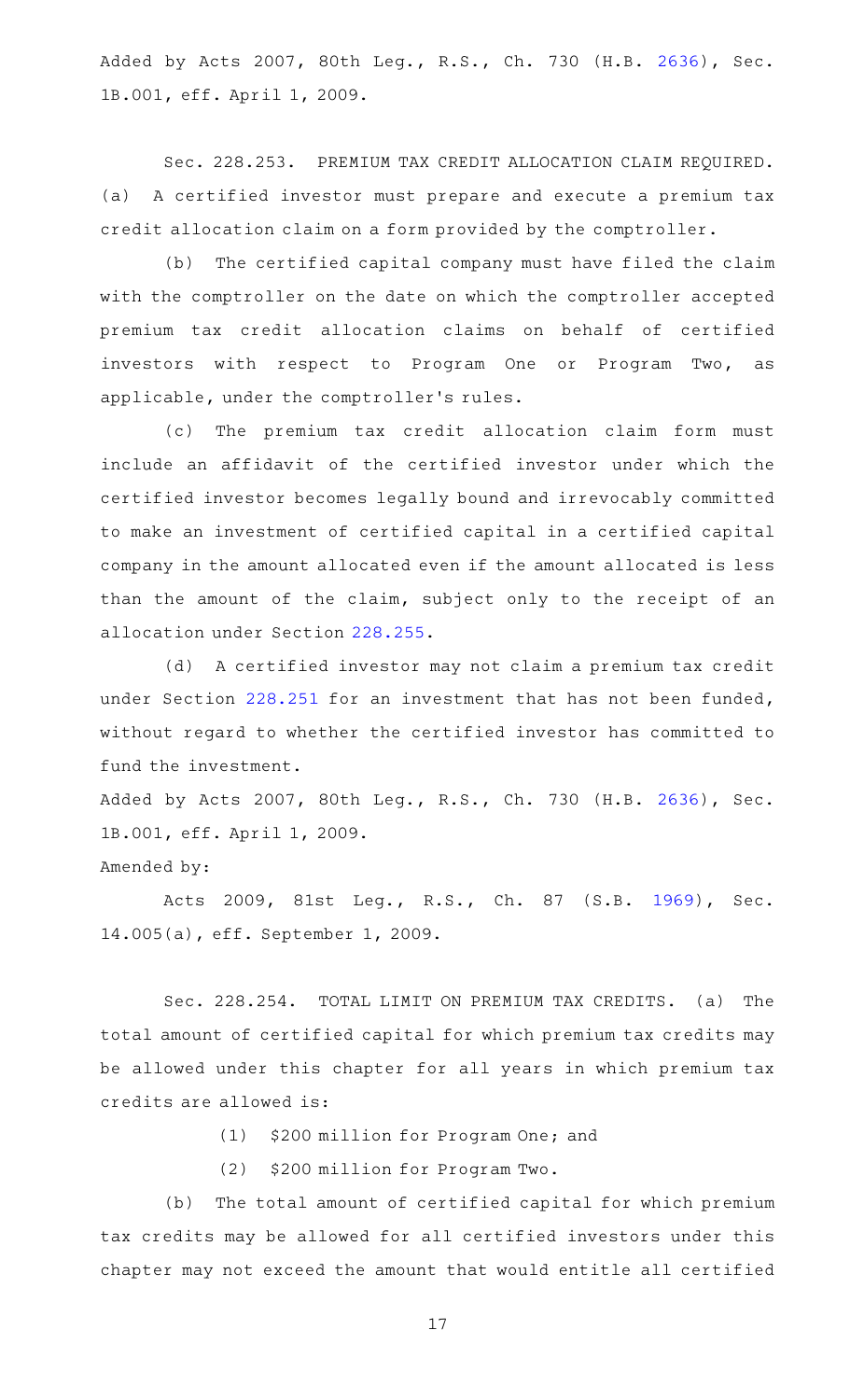Added by Acts 2007, 80th Leg., R.S., Ch. 730 (H.B. [2636](http://www.legis.state.tx.us/tlodocs/80R/billtext/html/HB02636F.HTM)), Sec. 1B.001, eff. April 1, 2009.

Sec. 228.253. PREMIUM TAX CREDIT ALLOCATION CLAIM REQUIRED. (a) A certified investor must prepare and execute a premium tax credit allocation claim on a form provided by the comptroller.

(b) The certified capital company must have filed the claim with the comptroller on the date on which the comptroller accepted premium tax credit allocation claims on behalf of certified investors with respect to Program One or Program Two, as applicable, under the comptroller 's rules.

(c) The premium tax credit allocation claim form must include an affidavit of the certified investor under which the certified investor becomes legally bound and irrevocably committed to make an investment of certified capital in a certified capital company in the amount allocated even if the amount allocated is less than the amount of the claim, subject only to the receipt of an allocation under Section [228.255.](http://www.statutes.legis.state.tx.us/GetStatute.aspx?Code=IN&Value=228.255)

(d) A certified investor may not claim a premium tax credit under Section [228.251](http://www.statutes.legis.state.tx.us/GetStatute.aspx?Code=IN&Value=228.251) for an investment that has not been funded, without regard to whether the certified investor has committed to fund the investment.

Added by Acts 2007, 80th Leg., R.S., Ch. 730 (H.B. [2636](http://www.legis.state.tx.us/tlodocs/80R/billtext/html/HB02636F.HTM)), Sec. 1B.001, eff. April 1, 2009.

### Amended by:

Acts 2009, 81st Leg., R.S., Ch. 87 (S.B. [1969\)](http://www.legis.state.tx.us/tlodocs/81R/billtext/html/SB01969F.HTM), Sec. 14.005(a), eff. September 1, 2009.

Sec. 228.254. TOTAL LIMIT ON PREMIUM TAX CREDITS. (a) The total amount of certified capital for which premium tax credits may be allowed under this chapter for all years in which premium tax credits are allowed is:

(1) \$200 million for Program One; and

(2) \$200 million for Program Two.

(b) The total amount of certified capital for which premium tax credits may be allowed for all certified investors under this chapter may not exceed the amount that would entitle all certified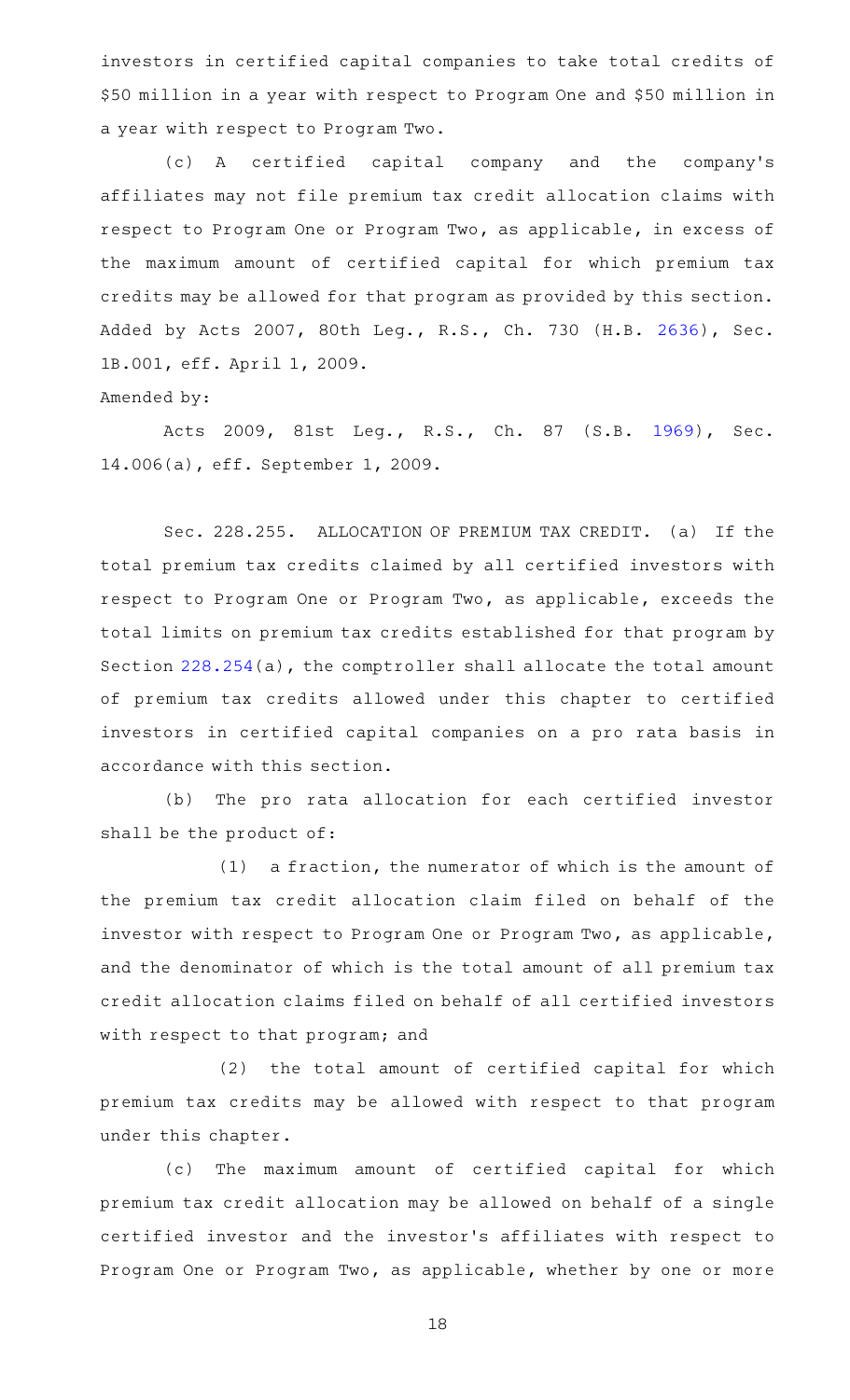investors in certified capital companies to take total credits of \$50 million in a year with respect to Program One and \$50 million in a year with respect to Program Two.

(c)AAA certified capital company and the company 's affiliates may not file premium tax credit allocation claims with respect to Program One or Program Two, as applicable, in excess of the maximum amount of certified capital for which premium tax credits may be allowed for that program as provided by this section. Added by Acts 2007, 80th Leg., R.S., Ch. 730 (H.B. [2636](http://www.legis.state.tx.us/tlodocs/80R/billtext/html/HB02636F.HTM)), Sec. 1B.001, eff. April 1, 2009.

Amended by:

Acts 2009, 81st Leg., R.S., Ch. 87 (S.B. [1969\)](http://www.legis.state.tx.us/tlodocs/81R/billtext/html/SB01969F.HTM), Sec. 14.006(a), eff. September 1, 2009.

Sec. 228.255. ALLOCATION OF PREMIUM TAX CREDIT. (a) If the total premium tax credits claimed by all certified investors with respect to Program One or Program Two, as applicable, exceeds the total limits on premium tax credits established for that program by Section [228.254\(](http://www.statutes.legis.state.tx.us/GetStatute.aspx?Code=IN&Value=228.254)a), the comptroller shall allocate the total amount of premium tax credits allowed under this chapter to certified investors in certified capital companies on a pro rata basis in accordance with this section.

(b) The pro rata allocation for each certified investor shall be the product of:

 $(1)$  a fraction, the numerator of which is the amount of the premium tax credit allocation claim filed on behalf of the investor with respect to Program One or Program Two, as applicable, and the denominator of which is the total amount of all premium tax credit allocation claims filed on behalf of all certified investors with respect to that program; and

(2) the total amount of certified capital for which premium tax credits may be allowed with respect to that program under this chapter.

(c) The maximum amount of certified capital for which premium tax credit allocation may be allowed on behalf of a single certified investor and the investor 's affiliates with respect to Program One or Program Two, as applicable, whether by one or more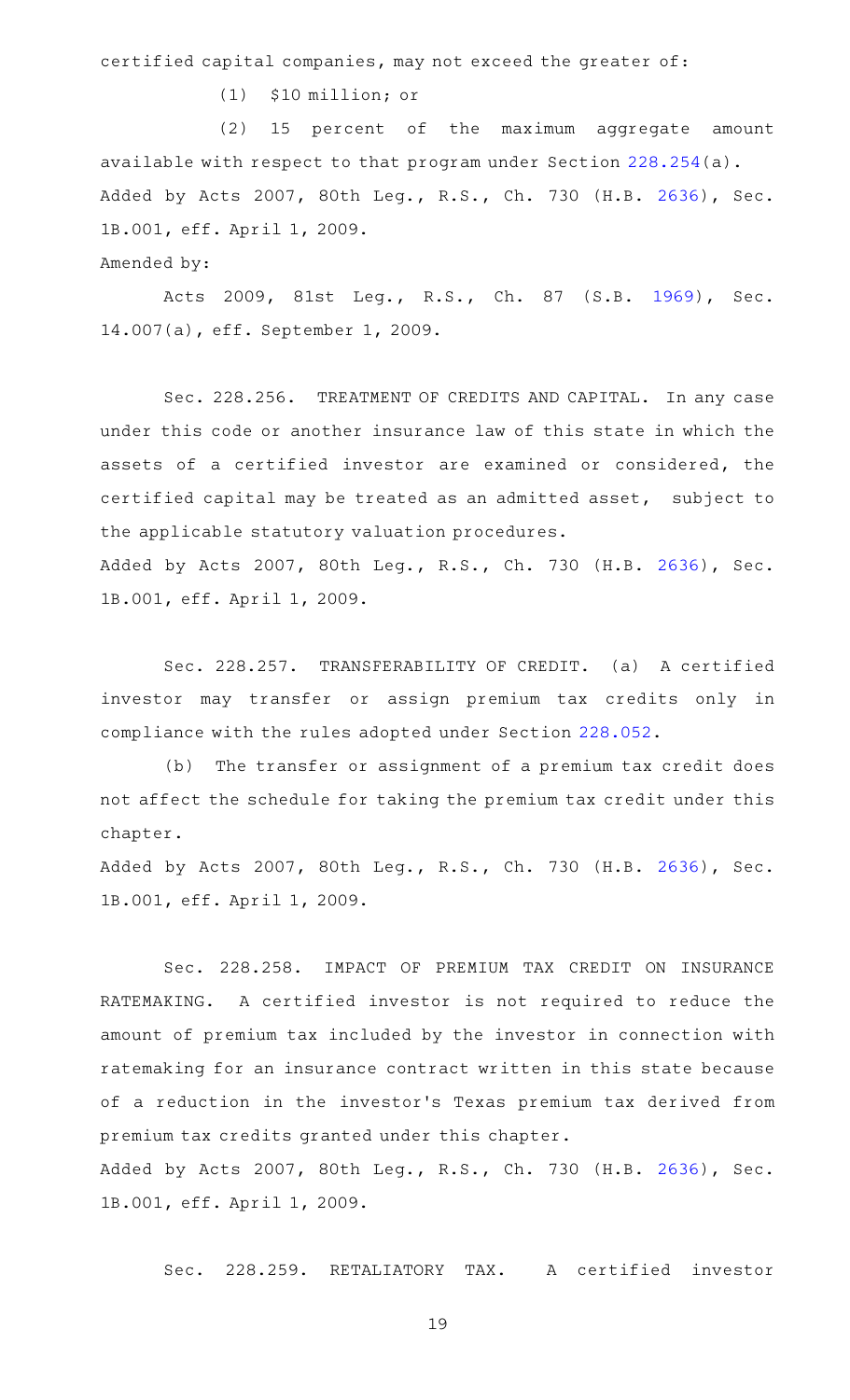certified capital companies, may not exceed the greater of:

 $(1)$  \$10 million; or

(2) 15 percent of the maximum aggregate amount available with respect to that program under Section [228.254\(](http://www.statutes.legis.state.tx.us/GetStatute.aspx?Code=IN&Value=228.254)a). Added by Acts 2007, 80th Leg., R.S., Ch. 730 (H.B. [2636](http://www.legis.state.tx.us/tlodocs/80R/billtext/html/HB02636F.HTM)), Sec. 1B.001, eff. April 1, 2009.

Amended by:

Acts 2009, 81st Leg., R.S., Ch. 87 (S.B. [1969\)](http://www.legis.state.tx.us/tlodocs/81R/billtext/html/SB01969F.HTM), Sec. 14.007(a), eff. September 1, 2009.

Sec. 228.256. TREATMENT OF CREDITS AND CAPITAL. In any case under this code or another insurance law of this state in which the assets of a certified investor are examined or considered, the certified capital may be treated as an admitted asset, subject to the applicable statutory valuation procedures.

Added by Acts 2007, 80th Leg., R.S., Ch. 730 (H.B. [2636](http://www.legis.state.tx.us/tlodocs/80R/billtext/html/HB02636F.HTM)), Sec. 1B.001, eff. April 1, 2009.

Sec. 228.257. TRANSFERABILITY OF CREDIT. (a) A certified investor may transfer or assign premium tax credits only in compliance with the rules adopted under Section [228.052.](http://www.statutes.legis.state.tx.us/GetStatute.aspx?Code=IN&Value=228.052)

(b) The transfer or assignment of a premium tax credit does not affect the schedule for taking the premium tax credit under this chapter.

Added by Acts 2007, 80th Leg., R.S., Ch. 730 (H.B. [2636](http://www.legis.state.tx.us/tlodocs/80R/billtext/html/HB02636F.HTM)), Sec. 1B.001, eff. April 1, 2009.

Sec. 228.258. IMPACT OF PREMIUM TAX CREDIT ON INSURANCE RATEMAKING. A certified investor is not required to reduce the amount of premium tax included by the investor in connection with ratemaking for an insurance contract written in this state because of a reduction in the investor 's Texas premium tax derived from premium tax credits granted under this chapter.

Added by Acts 2007, 80th Leg., R.S., Ch. 730 (H.B. [2636](http://www.legis.state.tx.us/tlodocs/80R/billtext/html/HB02636F.HTM)), Sec. 1B.001, eff. April 1, 2009.

Sec. 228.259. RETALIATORY TAX. A certified investor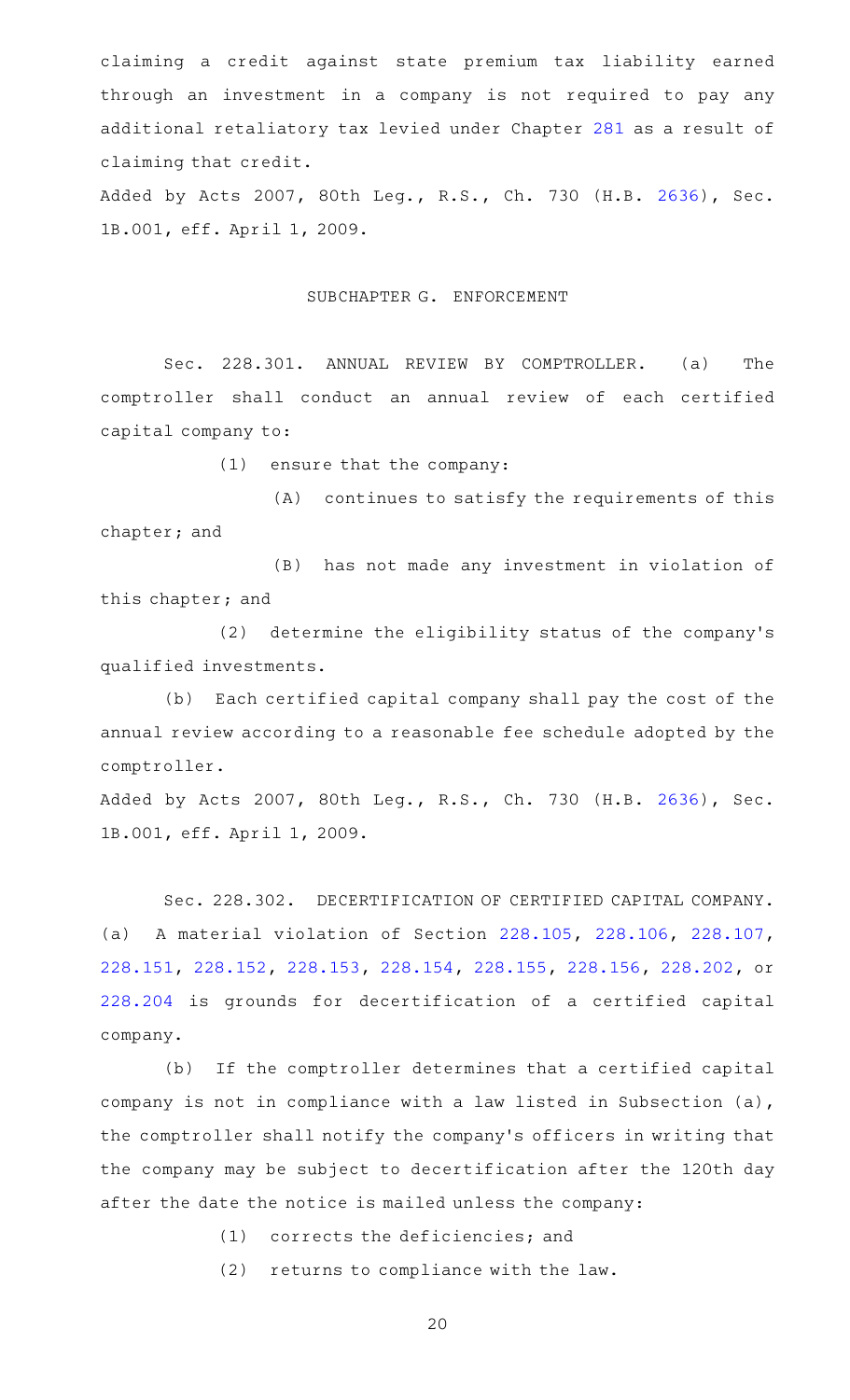claiming a credit against state premium tax liability earned through an investment in a company is not required to pay any additional retaliatory tax levied under Chapter [281](http://www.statutes.legis.state.tx.us/GetStatute.aspx?Code=IN&Value=281) as a result of claiming that credit.

Added by Acts 2007, 80th Leg., R.S., Ch. 730 (H.B. [2636](http://www.legis.state.tx.us/tlodocs/80R/billtext/html/HB02636F.HTM)), Sec. 1B.001, eff. April 1, 2009.

## SUBCHAPTER G. ENFORCEMENT

Sec. 228.301. ANNUAL REVIEW BY COMPTROLLER. (a) The comptroller shall conduct an annual review of each certified capital company to:

(1) ensure that the company:

(A) continues to satisfy the requirements of this chapter; and

(B) has not made any investment in violation of this chapter; and

(2) determine the eligibility status of the company's qualified investments.

(b) Each certified capital company shall pay the cost of the annual review according to a reasonable fee schedule adopted by the comptroller.

Added by Acts 2007, 80th Leg., R.S., Ch. 730 (H.B. [2636](http://www.legis.state.tx.us/tlodocs/80R/billtext/html/HB02636F.HTM)), Sec. 1B.001, eff. April 1, 2009.

Sec. 228.302. DECERTIFICATION OF CERTIFIED CAPITAL COMPANY. (a) A material violation of Section [228.105](http://www.statutes.legis.state.tx.us/GetStatute.aspx?Code=IN&Value=228.105), [228.106](http://www.statutes.legis.state.tx.us/GetStatute.aspx?Code=IN&Value=228.106), [228.107](http://www.statutes.legis.state.tx.us/GetStatute.aspx?Code=IN&Value=228.107), [228.151,](http://www.statutes.legis.state.tx.us/GetStatute.aspx?Code=IN&Value=228.151) [228.152](http://www.statutes.legis.state.tx.us/GetStatute.aspx?Code=IN&Value=228.152), [228.153](http://www.statutes.legis.state.tx.us/GetStatute.aspx?Code=IN&Value=228.153), [228.154,](http://www.statutes.legis.state.tx.us/GetStatute.aspx?Code=IN&Value=228.154) [228.155,](http://www.statutes.legis.state.tx.us/GetStatute.aspx?Code=IN&Value=228.155) [228.156](http://www.statutes.legis.state.tx.us/GetStatute.aspx?Code=IN&Value=228.156), [228.202](http://www.statutes.legis.state.tx.us/GetStatute.aspx?Code=IN&Value=228.202), or [228.204](http://www.statutes.legis.state.tx.us/GetStatute.aspx?Code=IN&Value=228.204) is grounds for decertification of a certified capital company.

(b) If the comptroller determines that a certified capital company is not in compliance with a law listed in Subsection (a), the comptroller shall notify the company 's officers in writing that the company may be subject to decertification after the 120th day after the date the notice is mailed unless the company:

 $(1)$  corrects the deficiencies; and

 $(2)$  returns to compliance with the law.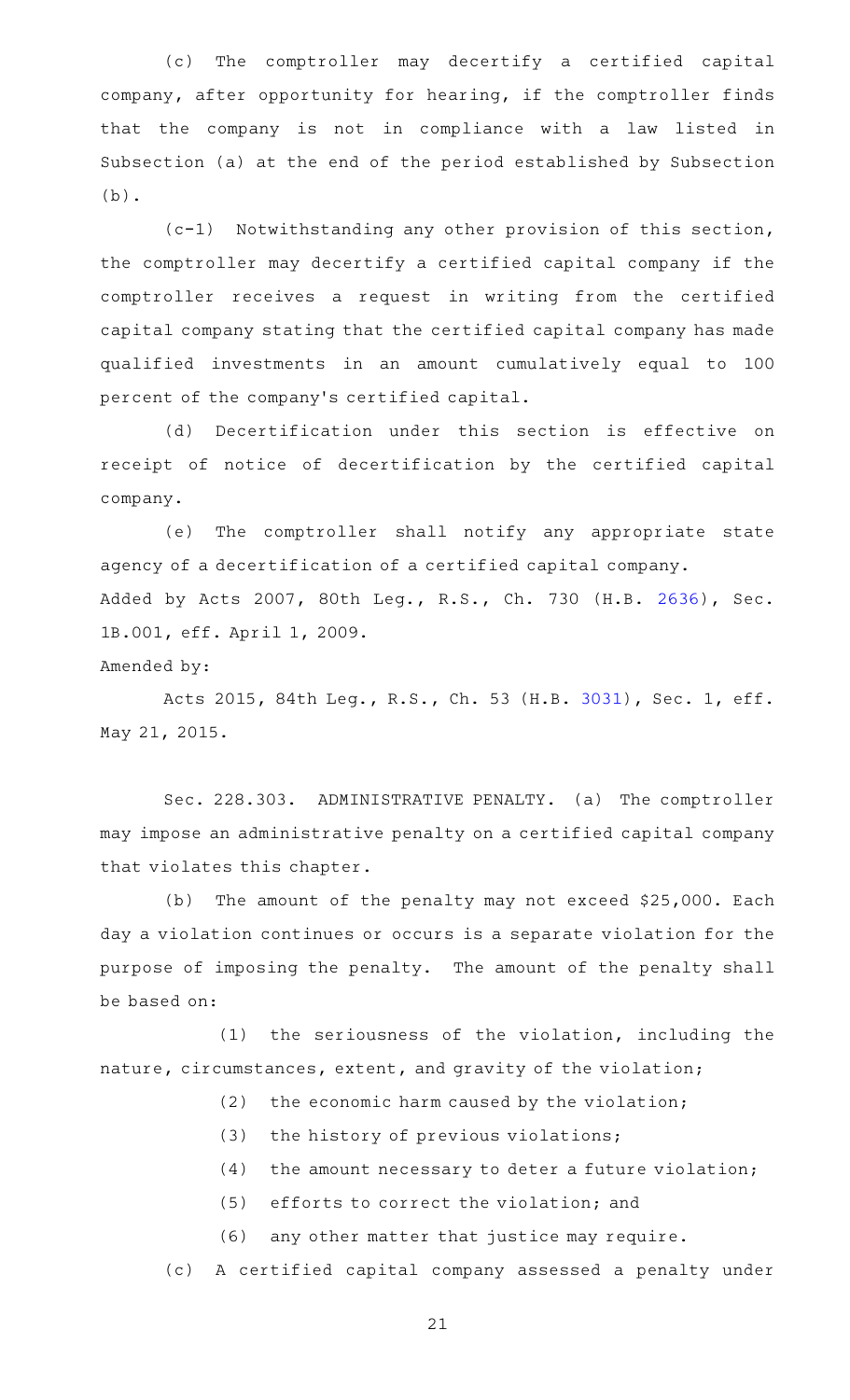(c) The comptroller may decertify a certified capital company, after opportunity for hearing, if the comptroller finds that the company is not in compliance with a law listed in Subsection (a) at the end of the period established by Subsection (b).

 $(c-1)$  Notwithstanding any other provision of this section, the comptroller may decertify a certified capital company if the comptroller receives a request in writing from the certified capital company stating that the certified capital company has made qualified investments in an amount cumulatively equal to 100 percent of the company 's certified capital.

(d) Decertification under this section is effective on receipt of notice of decertification by the certified capital company.

(e) The comptroller shall notify any appropriate state agency of a decertification of a certified capital company. Added by Acts 2007, 80th Leg., R.S., Ch. 730 (H.B. [2636](http://www.legis.state.tx.us/tlodocs/80R/billtext/html/HB02636F.HTM)), Sec. 1B.001, eff. April 1, 2009.

Amended by:

Acts 2015, 84th Leg., R.S., Ch. 53 (H.B. [3031](http://www.legis.state.tx.us/tlodocs/84R/billtext/html/HB03031F.HTM)), Sec. 1, eff. May 21, 2015.

Sec. 228.303. ADMINISTRATIVE PENALTY. (a) The comptroller may impose an administrative penalty on a certified capital company that violates this chapter.

(b) The amount of the penalty may not exceed \$25,000. Each day a violation continues or occurs is a separate violation for the purpose of imposing the penalty. The amount of the penalty shall be based on:

 $(1)$  the seriousness of the violation, including the nature, circumstances, extent, and gravity of the violation;

- $(2)$  the economic harm caused by the violation;
- $(3)$  the history of previous violations;
- $(4)$  the amount necessary to deter a future violation;
- (5) efforts to correct the violation; and
- (6) any other matter that justice may require.

(c) A certified capital company assessed a penalty under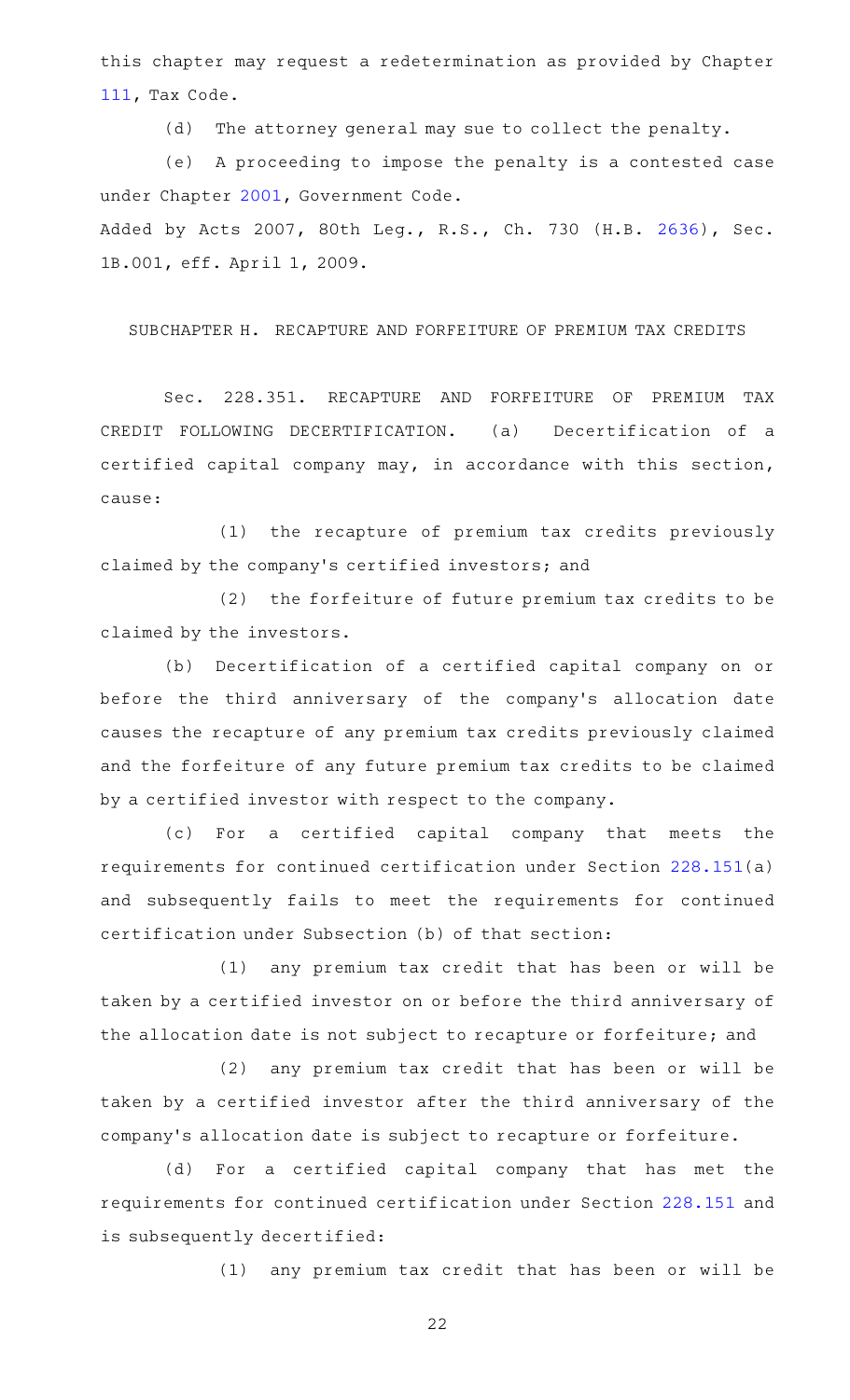this chapter may request a redetermination as provided by Chapter [111,](http://www.statutes.legis.state.tx.us/GetStatute.aspx?Code=TX&Value=111) Tax Code.

(d) The attorney general may sue to collect the penalty.

(e) A proceeding to impose the penalty is a contested case under Chapter [2001,](http://www.statutes.legis.state.tx.us/GetStatute.aspx?Code=GV&Value=2001) Government Code.

Added by Acts 2007, 80th Leg., R.S., Ch. 730 (H.B. [2636](http://www.legis.state.tx.us/tlodocs/80R/billtext/html/HB02636F.HTM)), Sec. 1B.001, eff. April 1, 2009.

SUBCHAPTER H. RECAPTURE AND FORFEITURE OF PREMIUM TAX CREDITS

Sec. 228.351. RECAPTURE AND FORFEITURE OF PREMIUM TAX CREDIT FOLLOWING DECERTIFICATION. (a) Decertification of a certified capital company may, in accordance with this section, cause:

(1) the recapture of premium tax credits previously claimed by the company 's certified investors; and

(2) the forfeiture of future premium tax credits to be claimed by the investors.

(b) Decertification of a certified capital company on or before the third anniversary of the company 's allocation date causes the recapture of any premium tax credits previously claimed and the forfeiture of any future premium tax credits to be claimed by a certified investor with respect to the company.

(c) For a certified capital company that meets the requirements for continued certification under Section [228.151](http://www.statutes.legis.state.tx.us/GetStatute.aspx?Code=IN&Value=228.151)(a) and subsequently fails to meet the requirements for continued certification under Subsection (b) of that section:

(1) any premium tax credit that has been or will be taken by a certified investor on or before the third anniversary of the allocation date is not subject to recapture or forfeiture; and

 $(2)$  any premium tax credit that has been or will be taken by a certified investor after the third anniversary of the company 's allocation date is subject to recapture or forfeiture.

(d) For a certified capital company that has met the requirements for continued certification under Section [228.151](http://www.statutes.legis.state.tx.us/GetStatute.aspx?Code=IN&Value=228.151) and is subsequently decertified:

(1) any premium tax credit that has been or will be